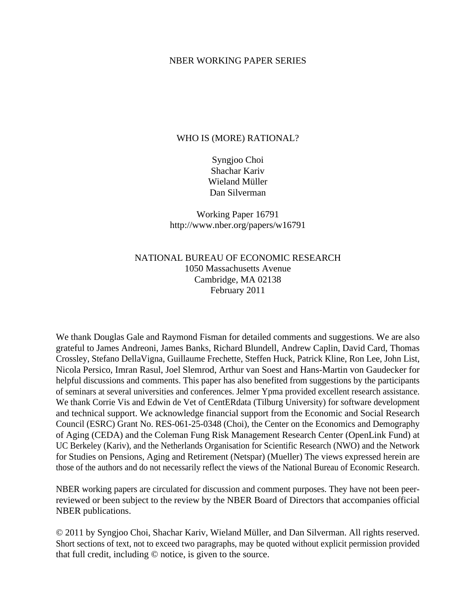### NBER WORKING PAPER SERIES

### WHO IS (MORE) RATIONAL?

Syngjoo Choi Shachar Kariv Wieland Müller Dan Silverman

Working Paper 16791 http://www.nber.org/papers/w16791

## NATIONAL BUREAU OF ECONOMIC RESEARCH 1050 Massachusetts Avenue Cambridge, MA 02138 February 2011

We thank Douglas Gale and Raymond Fisman for detailed comments and suggestions. We are also grateful to James Andreoni, James Banks, Richard Blundell, Andrew Caplin, David Card, Thomas Crossley, Stefano DellaVigna, Guillaume Frechette, Steffen Huck, Patrick Kline, Ron Lee, John List, Nicola Persico, Imran Rasul, Joel Slemrod, Arthur van Soest and Hans-Martin von Gaudecker for helpful discussions and comments. This paper has also benefited from suggestions by the participants of seminars at several universities and conferences. Jelmer Ypma provided excellent research assistance. We thank Corrie Vis and Edwin de Vet of CentERdata (Tilburg University) for software development and technical support. We acknowledge financial support from the Economic and Social Research Council (ESRC) Grant No. RES-061-25-0348 (Choi), the Center on the Economics and Demography of Aging (CEDA) and the Coleman Fung Risk Management Research Center (OpenLink Fund) at UC Berkeley (Kariv), and the Netherlands Organisation for Scientific Research (NWO) and the Network for Studies on Pensions, Aging and Retirement (Netspar) (Mueller) The views expressed herein are those of the authors and do not necessarily reflect the views of the National Bureau of Economic Research.

NBER working papers are circulated for discussion and comment purposes. They have not been peerreviewed or been subject to the review by the NBER Board of Directors that accompanies official NBER publications.

© 2011 by Syngjoo Choi, Shachar Kariv, Wieland Müller, and Dan Silverman. All rights reserved. Short sections of text, not to exceed two paragraphs, may be quoted without explicit permission provided that full credit, including © notice, is given to the source.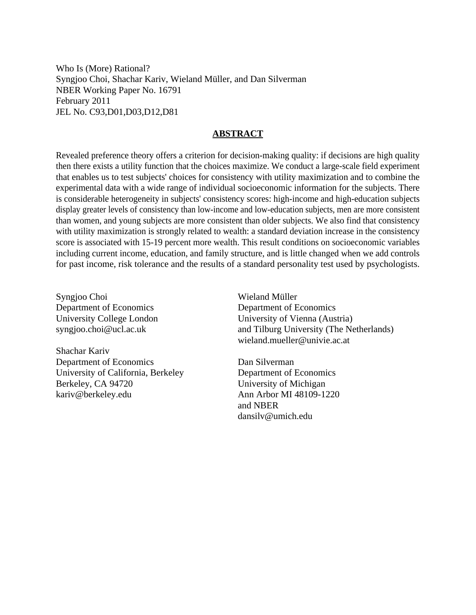Who Is (More) Rational? Syngjoo Choi, Shachar Kariv, Wieland Müller, and Dan Silverman NBER Working Paper No. 16791 February 2011 JEL No. C93,D01,D03,D12,D81

### **ABSTRACT**

Revealed preference theory offers a criterion for decision-making quality: if decisions are high quality then there exists a utility function that the choices maximize. We conduct a large-scale field experiment that enables us to test subjects' choices for consistency with utility maximization and to combine the experimental data with a wide range of individual socioeconomic information for the subjects. There is considerable heterogeneity in subjects' consistency scores: high-income and high-education subjects display greater levels of consistency than low-income and low-education subjects, men are more consistent than women, and young subjects are more consistent than older subjects. We also find that consistency with utility maximization is strongly related to wealth: a standard deviation increase in the consistency score is associated with 15-19 percent more wealth. This result conditions on socioeconomic variables including current income, education, and family structure, and is little changed when we add controls for past income, risk tolerance and the results of a standard personality test used by psychologists.

Syngjoo Choi Department of Economics University College London syngjoo.choi@ucl.ac.uk

Shachar Kariv Department of Economics University of California, Berkeley Berkeley, CA 94720 kariv@berkeley.edu

Wieland Müller Department of Economics University of Vienna (Austria) and Tilburg University (The Netherlands) wieland.mueller@univie.ac.at

Dan Silverman Department of Economics University of Michigan Ann Arbor MI 48109-1220 and NBER dansilv@umich.edu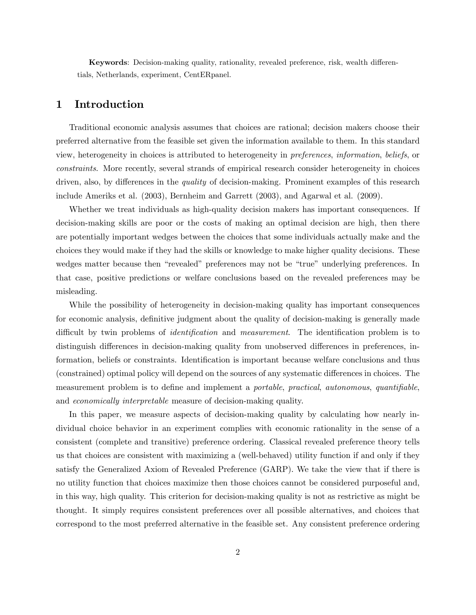Keywords: Decision-making quality, rationality, revealed preference, risk, wealth differentials, Netherlands, experiment, CentERpanel.

### 1 Introduction

Traditional economic analysis assumes that choices are rational; decision makers choose their preferred alternative from the feasible set given the information available to them. In this standard view, heterogeneity in choices is attributed to heterogeneity in preferences, information, beliefs, or constraints. More recently, several strands of empirical research consider heterogeneity in choices driven, also, by differences in the *quality* of decision-making. Prominent examples of this research include Ameriks et al. (2003), Bernheim and Garrett (2003), and Agarwal et al. (2009).

Whether we treat individuals as high-quality decision makers has important consequences. If decision-making skills are poor or the costs of making an optimal decision are high, then there are potentially important wedges between the choices that some individuals actually make and the choices they would make if they had the skills or knowledge to make higher quality decisions. These wedges matter because then "revealed" preferences may not be "true" underlying preferences. In that case, positive predictions or welfare conclusions based on the revealed preferences may be misleading.

While the possibility of heterogeneity in decision-making quality has important consequences for economic analysis, definitive judgment about the quality of decision-making is generally made difficult by twin problems of *identification* and *measurement*. The identification problem is to distinguish differences in decision-making quality from unobserved differences in preferences, information, beliefs or constraints. Identification is important because welfare conclusions and thus (constrained) optimal policy will depend on the sources of any systematic differences in choices. The measurement problem is to define and implement a *portable*, *practical*, *autonomous*, *quantifiable*, and economically interpretable measure of decision-making quality.

In this paper, we measure aspects of decision-making quality by calculating how nearly individual choice behavior in an experiment complies with economic rationality in the sense of a consistent (complete and transitive) preference ordering. Classical revealed preference theory tells us that choices are consistent with maximizing a (well-behaved) utility function if and only if they satisfy the Generalized Axiom of Revealed Preference (GARP). We take the view that if there is no utility function that choices maximize then those choices cannot be considered purposeful and, in this way, high quality. This criterion for decision-making quality is not as restrictive as might be thought. It simply requires consistent preferences over all possible alternatives, and choices that correspond to the most preferred alternative in the feasible set. Any consistent preference ordering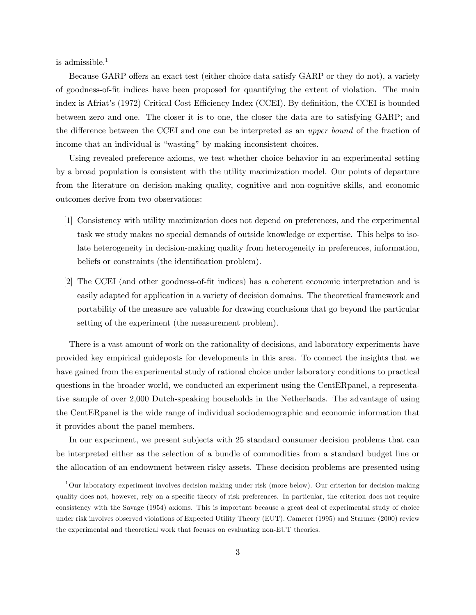is admissible.<sup>1</sup>

Because GARP offers an exact test (either choice data satisfy GARP or they do not), a variety of goodness-of-Öt indices have been proposed for quantifying the extent of violation. The main index is Afriat's (1972) Critical Cost Efficiency Index (CCEI). By definition, the CCEI is bounded between zero and one. The closer it is to one, the closer the data are to satisfying GARP; and the difference between the CCEI and one can be interpreted as an upper bound of the fraction of income that an individual is "wasting" by making inconsistent choices.

Using revealed preference axioms, we test whether choice behavior in an experimental setting by a broad population is consistent with the utility maximization model. Our points of departure from the literature on decision-making quality, cognitive and non-cognitive skills, and economic outcomes derive from two observations:

- [1] Consistency with utility maximization does not depend on preferences, and the experimental task we study makes no special demands of outside knowledge or expertise. This helps to isolate heterogeneity in decision-making quality from heterogeneity in preferences, information, beliefs or constraints (the identification problem).
- [2] The CCEI (and other goodness-of-Öt indices) has a coherent economic interpretation and is easily adapted for application in a variety of decision domains. The theoretical framework and portability of the measure are valuable for drawing conclusions that go beyond the particular setting of the experiment (the measurement problem).

There is a vast amount of work on the rationality of decisions, and laboratory experiments have provided key empirical guideposts for developments in this area. To connect the insights that we have gained from the experimental study of rational choice under laboratory conditions to practical questions in the broader world, we conducted an experiment using the CentERpanel, a representative sample of over 2,000 Dutch-speaking households in the Netherlands. The advantage of using the CentERpanel is the wide range of individual sociodemographic and economic information that it provides about the panel members.

In our experiment, we present subjects with 25 standard consumer decision problems that can be interpreted either as the selection of a bundle of commodities from a standard budget line or the allocation of an endowment between risky assets. These decision problems are presented using

<sup>1</sup>Our laboratory experiment involves decision making under risk (more below). Our criterion for decision-making quality does not, however, rely on a specific theory of risk preferences. In particular, the criterion does not require consistency with the Savage (1954) axioms. This is important because a great deal of experimental study of choice under risk involves observed violations of Expected Utility Theory (EUT). Camerer (1995) and Starmer (2000) review the experimental and theoretical work that focuses on evaluating non-EUT theories.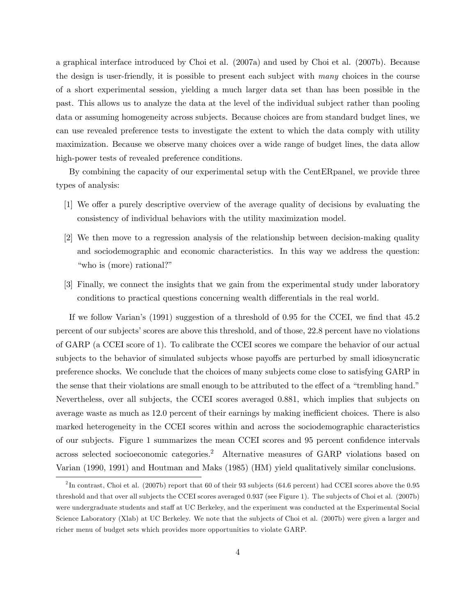a graphical interface introduced by Choi et al. (2007a) and used by Choi et al. (2007b). Because the design is user-friendly, it is possible to present each subject with many choices in the course of a short experimental session, yielding a much larger data set than has been possible in the past. This allows us to analyze the data at the level of the individual subject rather than pooling data or assuming homogeneity across subjects. Because choices are from standard budget lines, we can use revealed preference tests to investigate the extent to which the data comply with utility maximization. Because we observe many choices over a wide range of budget lines, the data allow high-power tests of revealed preference conditions.

By combining the capacity of our experimental setup with the CentERpanel, we provide three types of analysis:

- [1] We offer a purely descriptive overview of the average quality of decisions by evaluating the consistency of individual behaviors with the utility maximization model.
- [2] We then move to a regression analysis of the relationship between decision-making quality and sociodemographic and economic characteristics. In this way we address the question: "who is (more) rational?"
- [3] Finally, we connect the insights that we gain from the experimental study under laboratory conditions to practical questions concerning wealth differentials in the real world.

If we follow Varian's  $(1991)$  suggestion of a threshold of 0.95 for the CCEI, we find that 45.2 percent of our subjects' scores are above this threshold, and of those, 22.8 percent have no violations of GARP (a CCEI score of 1). To calibrate the CCEI scores we compare the behavior of our actual subjects to the behavior of simulated subjects whose payoffs are perturbed by small idiosyncratic preference shocks. We conclude that the choices of many subjects come close to satisfying GARP in the sense that their violations are small enough to be attributed to the effect of a "trembling hand." Nevertheless, over all subjects, the CCEI scores averaged 0.881, which implies that subjects on average waste as much as 12.0 percent of their earnings by making inefficient choices. There is also marked heterogeneity in the CCEI scores within and across the sociodemographic characteristics of our subjects. Figure 1 summarizes the mean CCEI scores and 95 percent confidence intervals across selected socioeconomic categories.<sup>2</sup> Alternative measures of GARP violations based on Varian (1990, 1991) and Houtman and Maks (1985) (HM) yield qualitatively similar conclusions.

<sup>&</sup>lt;sup>2</sup>In contrast, Choi et al. (2007b) report that 60 of their 93 subjects (64.6 percent) had CCEI scores above the 0.95 threshold and that over all subjects the CCEI scores averaged 0.937 (see Figure 1). The subjects of Choi et al. (2007b) were undergraduate students and staff at UC Berkeley, and the experiment was conducted at the Experimental Social Science Laboratory (Xlab) at UC Berkeley. We note that the subjects of Choi et al. (2007b) were given a larger and richer menu of budget sets which provides more opportunities to violate GARP.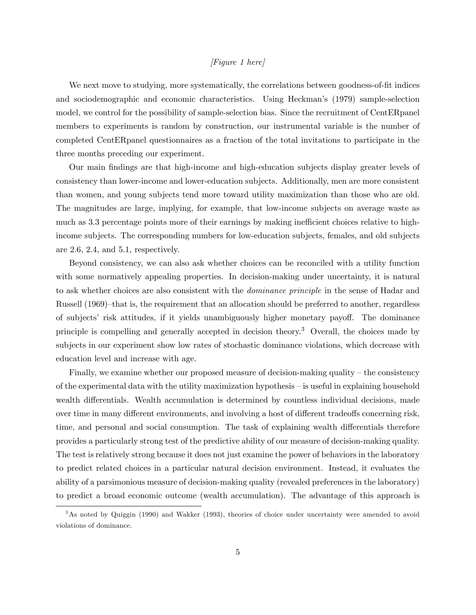#### [Figure 1 here]

We next move to studying, more systematically, the correlations between goodness-of-fit indices and sociodemographic and economic characteristics. Using Heckman's (1979) sample-selection model, we control for the possibility of sample-selection bias. Since the recruitment of CentERpanel members to experiments is random by construction, our instrumental variable is the number of completed CentERpanel questionnaires as a fraction of the total invitations to participate in the three months preceding our experiment.

Our main Öndings are that high-income and high-education subjects display greater levels of consistency than lower-income and lower-education subjects. Additionally, men are more consistent than women, and young subjects tend more toward utility maximization than those who are old. The magnitudes are large, implying, for example, that low-income subjects on average waste as much as 3.3 percentage points more of their earnings by making inefficient choices relative to highincome subjects. The corresponding numbers for low-education subjects, females, and old subjects are 2.6, 2.4, and 5.1, respectively.

Beyond consistency, we can also ask whether choices can be reconciled with a utility function with some normatively appealing properties. In decision-making under uncertainty, it is natural to ask whether choices are also consistent with the dominance principle in the sense of Hadar and Russell (1969)–that is, the requirement that an allocation should be preferred to another, regardless of subjects' risk attitudes, if it yields unambiguously higher monetary payoff. The dominance principle is compelling and generally accepted in decision theory.<sup>3</sup> Overall, the choices made by subjects in our experiment show low rates of stochastic dominance violations, which decrease with education level and increase with age.

Finally, we examine whether our proposed measure of decision-making quality  $-$  the consistency of the experimental data with the utility maximization hypothesis  $-\bar{a}$  is useful in explaining household wealth differentials. Wealth accumulation is determined by countless individual decisions, made over time in many different environments, and involving a host of different tradeoffs concerning risk, time, and personal and social consumption. The task of explaining wealth differentials therefore provides a particularly strong test of the predictive ability of our measure of decision-making quality. The test is relatively strong because it does not just examine the power of behaviors in the laboratory to predict related choices in a particular natural decision environment. Instead, it evaluates the ability of a parsimonious measure of decision-making quality (revealed preferences in the laboratory) to predict a broad economic outcome (wealth accumulation). The advantage of this approach is

<sup>&</sup>lt;sup>3</sup>As noted by Quiggin (1990) and Wakker (1993), theories of choice under uncertainty were amended to avoid violations of dominance.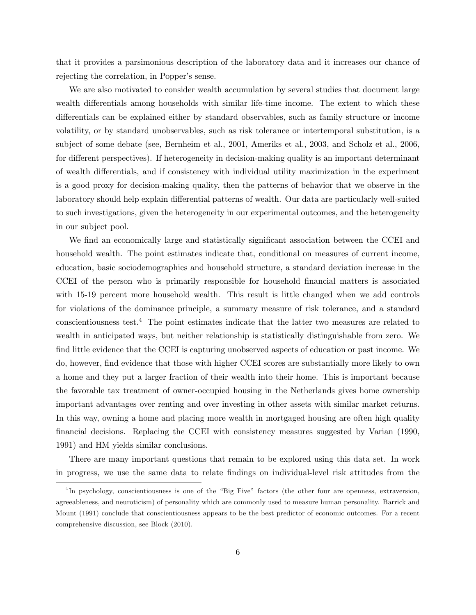that it provides a parsimonious description of the laboratory data and it increases our chance of rejecting the correlation, in Popper's sense.

We are also motivated to consider wealth accumulation by several studies that document large wealth differentials among households with similar life-time income. The extent to which these differentials can be explained either by standard observables, such as family structure or income volatility, or by standard unobservables, such as risk tolerance or intertemporal substitution, is a subject of some debate (see, Bernheim et al., 2001, Ameriks et al., 2003, and Scholz et al., 2006, for different perspectives). If heterogeneity in decision-making quality is an important determinant of wealth differentials, and if consistency with individual utility maximization in the experiment is a good proxy for decision-making quality, then the patterns of behavior that we observe in the laboratory should help explain differential patterns of wealth. Our data are particularly well-suited to such investigations, given the heterogeneity in our experimental outcomes, and the heterogeneity in our subject pool.

We find an economically large and statistically significant association between the CCEI and household wealth. The point estimates indicate that, conditional on measures of current income, education, basic sociodemographics and household structure, a standard deviation increase in the CCEI of the person who is primarily responsible for household financial matters is associated with 15-19 percent more household wealth. This result is little changed when we add controls for violations of the dominance principle, a summary measure of risk tolerance, and a standard conscientiousness test.<sup>4</sup> The point estimates indicate that the latter two measures are related to wealth in anticipated ways, but neither relationship is statistically distinguishable from zero. We find little evidence that the CCEI is capturing unobserved aspects of education or past income. We do, however, find evidence that those with higher CCEI scores are substantially more likely to own a home and they put a larger fraction of their wealth into their home. This is important because the favorable tax treatment of owner-occupied housing in the Netherlands gives home ownership important advantages over renting and over investing in other assets with similar market returns. In this way, owning a home and placing more wealth in mortgaged housing are often high quality financial decisions. Replacing the CCEI with consistency measures suggested by Varian (1990, 1991) and HM yields similar conclusions.

There are many important questions that remain to be explored using this data set. In work in progress, we use the same data to relate Öndings on individual-level risk attitudes from the

<sup>&</sup>lt;sup>4</sup>In psychology, conscientiousness is one of the "Big Five" factors (the other four are openness, extraversion, agreeableness, and neuroticism) of personality which are commonly used to measure human personality. Barrick and Mount (1991) conclude that conscientiousness appears to be the best predictor of economic outcomes. For a recent comprehensive discussion, see Block (2010).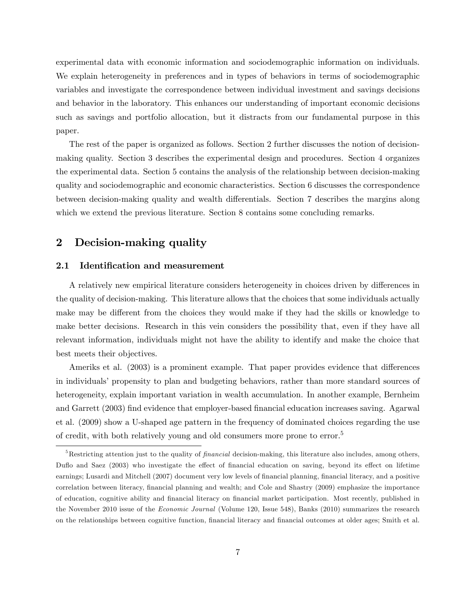experimental data with economic information and sociodemographic information on individuals. We explain heterogeneity in preferences and in types of behaviors in terms of sociodemographic variables and investigate the correspondence between individual investment and savings decisions and behavior in the laboratory. This enhances our understanding of important economic decisions such as savings and portfolio allocation, but it distracts from our fundamental purpose in this paper.

The rest of the paper is organized as follows. Section 2 further discusses the notion of decisionmaking quality. Section 3 describes the experimental design and procedures. Section 4 organizes the experimental data. Section 5 contains the analysis of the relationship between decision-making quality and sociodemographic and economic characteristics. Section 6 discusses the correspondence between decision-making quality and wealth differentials. Section 7 describes the margins along which we extend the previous literature. Section 8 contains some concluding remarks.

## 2 Decision-making quality

#### 2.1 Identification and measurement

A relatively new empirical literature considers heterogeneity in choices driven by differences in the quality of decision-making. This literature allows that the choices that some individuals actually make may be different from the choices they would make if they had the skills or knowledge to make better decisions. Research in this vein considers the possibility that, even if they have all relevant information, individuals might not have the ability to identify and make the choice that best meets their objectives.

Ameriks et al.  $(2003)$  is a prominent example. That paper provides evidence that differences in individuals' propensity to plan and budgeting behaviors, rather than more standard sources of heterogeneity, explain important variation in wealth accumulation. In another example, Bernheim and Garrett (2003) find evidence that employer-based financial education increases saving. Agarwal et al. (2009) show a U-shaped age pattern in the frequency of dominated choices regarding the use of credit, with both relatively young and old consumers more prone to error.<sup>5</sup>

 $5$ Restricting attention just to the quality of  $\emph{financial decision-making}$ , this literature also includes, among others, Duflo and Saez (2003) who investigate the effect of financial education on saving, beyond its effect on lifetime earnings; Lusardi and Mitchell (2007) document very low levels of financial planning, financial literacy, and a positive correlation between literacy, financial planning and wealth; and Cole and Shastry (2009) emphasize the importance of education, cognitive ability and financial literacy on financial market participation. Most recently, published in the November 2010 issue of the Economic Journal (Volume 120, Issue 548), Banks (2010) summarizes the research on the relationships between cognitive function, financial literacy and financial outcomes at older ages; Smith et al.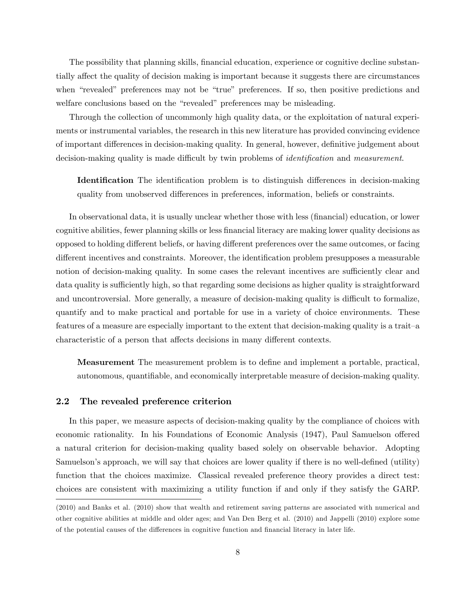The possibility that planning skills, financial education, experience or cognitive decline substantially affect the quality of decision making is important because it suggests there are circumstances when "revealed" preferences may not be "true" preferences. If so, then positive predictions and welfare conclusions based on the "revealed" preferences may be misleading.

Through the collection of uncommonly high quality data, or the exploitation of natural experiments or instrumental variables, the research in this new literature has provided convincing evidence of important differences in decision-making quality. In general, however, definitive judgement about decision-making quality is made difficult by twin problems of *identification* and *measurement*.

**Identification** The identification problem is to distinguish differences in decision-making quality from unobserved differences in preferences, information, beliefs or constraints.

In observational data, it is usually unclear whether those with less (financial) education, or lower cognitive abilities, fewer planning skills or less Önancial literacy are making lower quality decisions as opposed to holding different beliefs, or having different preferences over the same outcomes, or facing different incentives and constraints. Moreover, the identification problem presupposes a measurable notion of decision-making quality. In some cases the relevant incentives are sufficiently clear and data quality is sufficiently high, so that regarding some decisions as higher quality is straightforward and uncontroversial. More generally, a measure of decision-making quality is difficult to formalize, quantify and to make practical and portable for use in a variety of choice environments. These features of a measure are especially important to the extent that decision-making quality is a traitcharacteristic of a person that affects decisions in many different contexts.

**Measurement** The measurement problem is to define and implement a portable, practical, autonomous, quantifiable, and economically interpretable measure of decision-making quality.

#### 2.2 The revealed preference criterion

In this paper, we measure aspects of decision-making quality by the compliance of choices with economic rationality. In his Foundations of Economic Analysis (1947), Paul Samuelson offered a natural criterion for decision-making quality based solely on observable behavior. Adopting Samuelson's approach, we will say that choices are lower quality if there is no well-defined (utility) function that the choices maximize. Classical revealed preference theory provides a direct test: choices are consistent with maximizing a utility function if and only if they satisfy the GARP.

<sup>(2010)</sup> and Banks et al. (2010) show that wealth and retirement saving patterns are associated with numerical and other cognitive abilities at middle and older ages; and Van Den Berg et al. (2010) and Jappelli (2010) explore some of the potential causes of the differences in cognitive function and financial literacy in later life.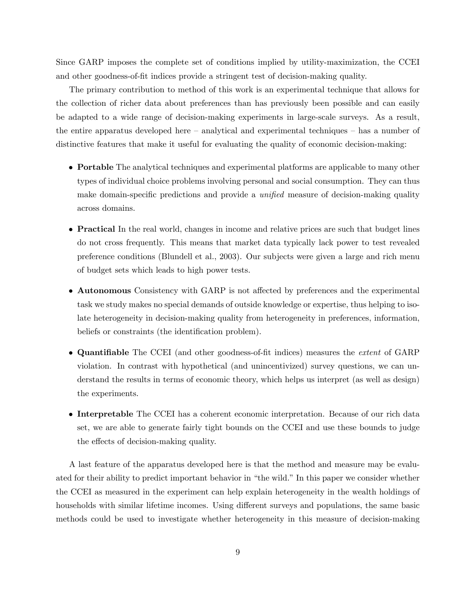Since GARP imposes the complete set of conditions implied by utility-maximization, the CCEI and other goodness-of-fit indices provide a stringent test of decision-making quality.

The primary contribution to method of this work is an experimental technique that allows for the collection of richer data about preferences than has previously been possible and can easily be adapted to a wide range of decision-making experiments in large-scale surveys. As a result, the entire apparatus developed here  $-$  analytical and experimental techniques  $-$  has a number of distinctive features that make it useful for evaluating the quality of economic decision-making:

- Portable The analytical techniques and experimental platforms are applicable to many other types of individual choice problems involving personal and social consumption. They can thus make domain-specific predictions and provide a *unified* measure of decision-making quality across domains.
- Practical In the real world, changes in income and relative prices are such that budget lines do not cross frequently. This means that market data typically lack power to test revealed preference conditions (Blundell et al., 2003). Our subjects were given a large and rich menu of budget sets which leads to high power tests.
- Autonomous Consistency with GARP is not affected by preferences and the experimental task we study makes no special demands of outside knowledge or expertise, thus helping to isolate heterogeneity in decision-making quality from heterogeneity in preferences, information, beliefs or constraints (the identification problem).
- Quantifiable The CCEI (and other goodness-of-fit indices) measures the *extent* of GARP violation. In contrast with hypothetical (and unincentivized) survey questions, we can understand the results in terms of economic theory, which helps us interpret (as well as design) the experiments.
- Interpretable The CCEI has a coherent economic interpretation. Because of our rich data set, we are able to generate fairly tight bounds on the CCEI and use these bounds to judge the effects of decision-making quality.

A last feature of the apparatus developed here is that the method and measure may be evaluated for their ability to predict important behavior in "the wild." In this paper we consider whether the CCEI as measured in the experiment can help explain heterogeneity in the wealth holdings of households with similar lifetime incomes. Using different surveys and populations, the same basic methods could be used to investigate whether heterogeneity in this measure of decision-making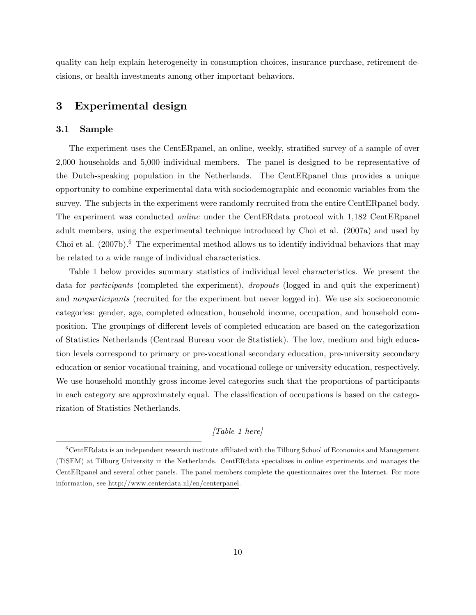quality can help explain heterogeneity in consumption choices, insurance purchase, retirement decisions, or health investments among other important behaviors.

## 3 Experimental design

#### 3.1 Sample

The experiment uses the CentER panel, an online, weekly, stratified survey of a sample of over 2,000 households and 5,000 individual members. The panel is designed to be representative of the Dutch-speaking population in the Netherlands. The CentERpanel thus provides a unique opportunity to combine experimental data with sociodemographic and economic variables from the survey. The subjects in the experiment were randomly recruited from the entire CentERpanel body. The experiment was conducted online under the CentERdata protocol with 1,182 CentERpanel adult members, using the experimental technique introduced by Choi et al. (2007a) and used by Choi et al.  $(2007b)^6$ . The experimental method allows us to identify individual behaviors that may be related to a wide range of individual characteristics.

Table 1 below provides summary statistics of individual level characteristics. We present the data for participants (completed the experiment), dropouts (logged in and quit the experiment) and nonparticipants (recruited for the experiment but never logged in). We use six socioeconomic categories: gender, age, completed education, household income, occupation, and household composition. The groupings of different levels of completed education are based on the categorization of Statistics Netherlands (Centraal Bureau voor de Statistiek). The low, medium and high education levels correspond to primary or pre-vocational secondary education, pre-university secondary education or senior vocational training, and vocational college or university education, respectively. We use household monthly gross income-level categories such that the proportions of participants in each category are approximately equal. The classification of occupations is based on the categorization of Statistics Netherlands.

### [Table 1 here]

 $6$ CentERdata is an independent research institute affiliated with the Tilburg School of Economics and Management (TiSEM) at Tilburg University in the Netherlands. CentERdata specializes in online experiments and manages the CentERpanel and several other panels. The panel members complete the questionnaires over the Internet. For more information, see http://www.centerdata.nl/en/centerpanel.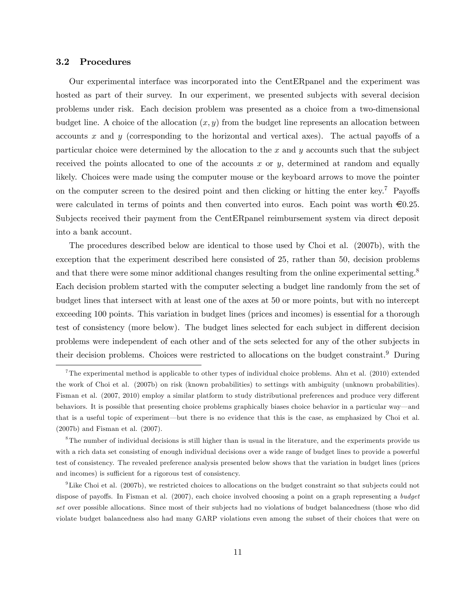#### 3.2 Procedures

Our experimental interface was incorporated into the CentERpanel and the experiment was hosted as part of their survey. In our experiment, we presented subjects with several decision problems under risk. Each decision problem was presented as a choice from a two-dimensional budget line. A choice of the allocation  $(x, y)$  from the budget line represents an allocation between accounts x and y (corresponding to the horizontal and vertical axes). The actual payoffs of a particular choice were determined by the allocation to the  $x$  and  $y$  accounts such that the subject received the points allocated to one of the accounts x or  $y$ , determined at random and equally likely. Choices were made using the computer mouse or the keyboard arrows to move the pointer on the computer screen to the desired point and then clicking or hitting the enter key.<sup>7</sup> Payoffs were calculated in terms of points and then converted into euros. Each point was worth  $\epsilon 0.25$ . Subjects received their payment from the CentERpanel reimbursement system via direct deposit into a bank account.

The procedures described below are identical to those used by Choi et al. (2007b), with the exception that the experiment described here consisted of 25, rather than 50, decision problems and that there were some minor additional changes resulting from the online experimental setting.<sup>8</sup> Each decision problem started with the computer selecting a budget line randomly from the set of budget lines that intersect with at least one of the axes at 50 or more points, but with no intercept exceeding 100 points. This variation in budget lines (prices and incomes) is essential for a thorough test of consistency (more below). The budget lines selected for each subject in different decision problems were independent of each other and of the sets selected for any of the other subjects in their decision problems. Choices were restricted to allocations on the budget constraint.<sup>9</sup> During

<sup>7</sup>The experimental method is applicable to other types of individual choice problems. Ahn et al. (2010) extended the work of Choi et al. (2007b) on risk (known probabilities) to settings with ambiguity (unknown probabilities). Fisman et al. (2007, 2010) employ a similar platform to study distributional preferences and produce very different behaviors. It is possible that presenting choice problems graphically biases choice behavior in a particular way—and that is a useful topic of experiment—but there is no evidence that this is the case, as emphasized by Choi et al. (2007b) and Fisman et al. (2007).

<sup>&</sup>lt;sup>8</sup>The number of individual decisions is still higher than is usual in the literature, and the experiments provide us with a rich data set consisting of enough individual decisions over a wide range of budget lines to provide a powerful test of consistency. The revealed preference analysis presented below shows that the variation in budget lines (prices and incomes) is sufficient for a rigorous test of consistency.

<sup>&</sup>lt;sup>9</sup>Like Choi et al. (2007b), we restricted choices to allocations on the budget constraint so that subjects could not dispose of payoffs. In Fisman et al. (2007), each choice involved choosing a point on a graph representing a budget set over possible allocations. Since most of their subjects had no violations of budget balancedness (those who did violate budget balancedness also had many GARP violations even among the subset of their choices that were on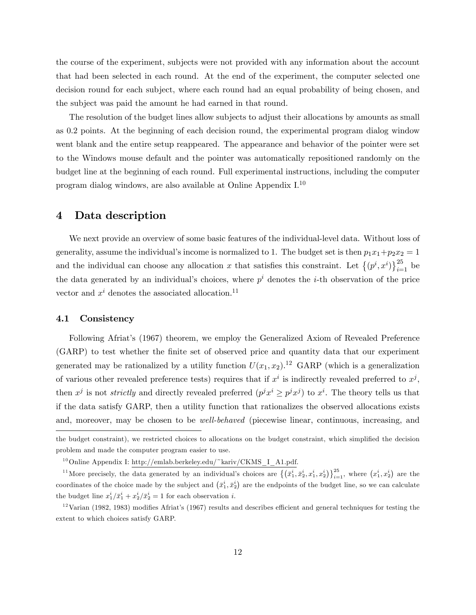the course of the experiment, subjects were not provided with any information about the account that had been selected in each round. At the end of the experiment, the computer selected one decision round for each subject, where each round had an equal probability of being chosen, and the subject was paid the amount he had earned in that round.

The resolution of the budget lines allow subjects to adjust their allocations by amounts as small as 0.2 points. At the beginning of each decision round, the experimental program dialog window went blank and the entire setup reappeared. The appearance and behavior of the pointer were set to the Windows mouse default and the pointer was automatically repositioned randomly on the budget line at the beginning of each round. Full experimental instructions, including the computer program dialog windows, are also available at Online Appendix I.<sup>10</sup>

### 4 Data description

We next provide an overview of some basic features of the individual-level data. Without loss of generality, assume the individual's income is normalized to 1. The budget set is then  $p_1x_1+p_2x_2=1$ and the individual can choose any allocation x that satisfies this constraint. Let  $\{(p^i, x^i)\}_{i=1}^{25}$  be the data generated by an individual's choices, where  $p^i$  denotes the *i*-th observation of the price vector and  $x^i$  denotes the associated allocation.<sup>11</sup>

#### 4.1 Consistency

Following Afriatís (1967) theorem, we employ the Generalized Axiom of Revealed Preference (GARP) to test whether the Önite set of observed price and quantity data that our experiment generated may be rationalized by a utility function  $U(x_1, x_2)$ .<sup>12</sup> GARP (which is a generalization of various other revealed preference tests) requires that if  $x^i$  is indirectly revealed preferred to  $x^j$ , then  $x^j$  is not *strictly* and directly revealed preferred  $(p^j x^i \geq p^j x^j)$  to  $x^i$ . The theory tells us that if the data satisfy GARP, then a utility function that rationalizes the observed allocations exists and, moreover, may be chosen to be *well-behaved* (piecewise linear, continuous, increasing, and

the budget constraint), we restricted choices to allocations on the budget constraint, which simplified the decision problem and made the computer program easier to use.

<sup>&</sup>lt;sup>10</sup> Online Appendix I: http://emlab.berkeley.edu/~kariv/CKMS\_I\_A1.pdf.

<sup>&</sup>lt;sup>11</sup>More precisely, the data generated by an individual's choices are  $\{(\bar{x}_1^i, \bar{x}_2^i, x_1^i, x_2^i)\}_{i=1}^{25}$ , where  $(x_1^i, x_2^i)$  are the coordinates of the choice made by the subject and  $(\bar{x}_1^i, \bar{x}_2^i)$  are the endpoints of the budget line, so we can calculate the budget line  $x_1^i / \bar{x}_1^i + x_2^i / \bar{x}_2^i = 1$  for each observation *i*.

 $12$ Varian (1982, 1983) modifies Afriat's (1967) results and describes efficient and general techniques for testing the extent to which choices satisfy GARP.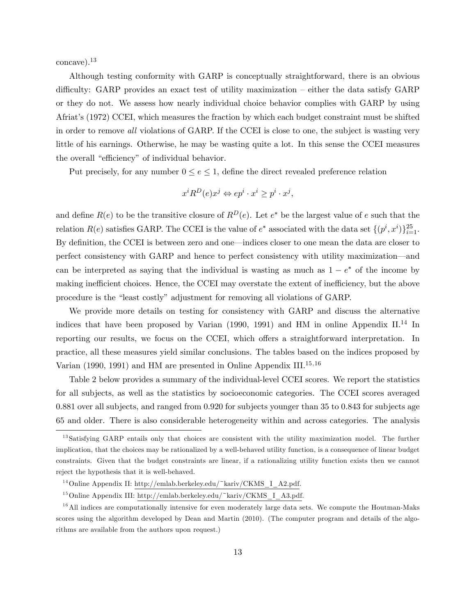concave).<sup>13</sup>

Although testing conformity with GARP is conceptually straightforward, there is an obvious difficulty: GARP provides an exact test of utility maximization  $-$  either the data satisfy GARP or they do not. We assess how nearly individual choice behavior complies with GARP by using Afriatís (1972) CCEI, which measures the fraction by which each budget constraint must be shifted in order to remove all violations of GARP. If the CCEI is close to one, the subject is wasting very little of his earnings. Otherwise, he may be wasting quite a lot. In this sense the CCEI measures the overall "efficiency" of individual behavior.

Put precisely, for any number  $0 \le e \le 1$ , define the direct revealed preference relation

$$
x^i R^D(e) x^j \Leftrightarrow e p^i \cdot x^i \ge p^i \cdot x^j,
$$

and define  $R(e)$  to be the transitive closure of  $R^D(e)$ . Let  $e^*$  be the largest value of e such that the relation  $R(e)$  satisfies GARP. The CCEI is the value of  $e^*$  associated with the data set  $\{(p^i, x^i)\}_{i=1}^{25}$ . By definition, the CCEI is between zero and one—indices closer to one mean the data are closer to perfect consistency with GARP and hence to perfect consistency with utility maximization—and can be interpreted as saying that the individual is wasting as much as  $1 - e^*$  of the income by making inefficient choices. Hence, the CCEI may overstate the extent of inefficiency, but the above procedure is the "least costly" adjustment for removing all violations of GARP.

We provide more details on testing for consistency with GARP and discuss the alternative indices that have been proposed by Varian (1990, 1991) and HM in online Appendix II.<sup>14</sup> In reporting our results, we focus on the CCEI, which offers a straightforward interpretation. In practice, all these measures yield similar conclusions. The tables based on the indices proposed by Varian (1990, 1991) and HM are presented in Online Appendix III.<sup>15,16</sup>

Table 2 below provides a summary of the individual-level CCEI scores. We report the statistics for all subjects, as well as the statistics by socioeconomic categories. The CCEI scores averaged 0.881 over all subjects, and ranged from 0.920 for subjects younger than 35 to 0.843 for subjects age 65 and older. There is also considerable heterogeneity within and across categories. The analysis

<sup>&</sup>lt;sup>13</sup>Satisfying GARP entails only that choices are consistent with the utility maximization model. The further implication, that the choices may be rationalized by a well-behaved utility function, is a consequence of linear budget constraints. Given that the budget constraints are linear, if a rationalizing utility function exists then we cannot reject the hypothesis that it is well-behaved.

 $14$ Online Appendix II: http://emlab.berkeley.edu/~kariv/CKMS\_I\_A2.pdf.

 $15$ Online Appendix III: http://emlab.berkeley.edu/~kariv/CKMS\_I\_A3.pdf.

 $16$  All indices are computationally intensive for even moderately large data sets. We compute the Houtman-Maks scores using the algorithm developed by Dean and Martin (2010). (The computer program and details of the algorithms are available from the authors upon request.)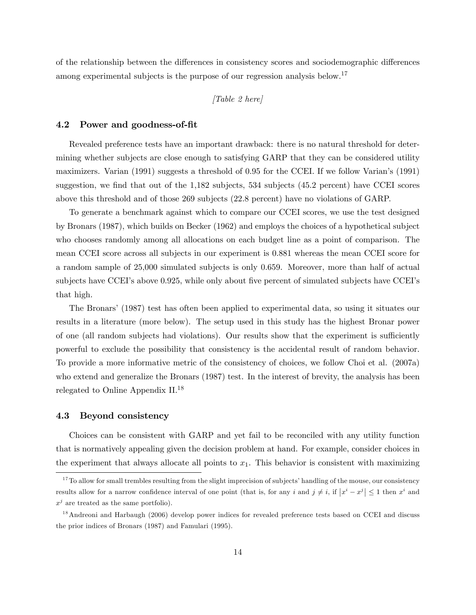of the relationship between the differences in consistency scores and sociodemographic differences among experimental subjects is the purpose of our regression analysis below.<sup>17</sup>

### [Table 2 here]

#### 4.2 Power and goodness-of-Öt

Revealed preference tests have an important drawback: there is no natural threshold for determining whether subjects are close enough to satisfying GARP that they can be considered utility maximizers. Varian (1991) suggests a threshold of 0.95 for the CCEI. If we follow Varianís (1991) suggestion, we find that out of the  $1,182$  subjects, 534 subjects (45.2 percent) have CCEI scores above this threshold and of those 269 subjects (22.8 percent) have no violations of GARP.

To generate a benchmark against which to compare our CCEI scores, we use the test designed by Bronars (1987), which builds on Becker (1962) and employs the choices of a hypothetical subject who chooses randomly among all allocations on each budget line as a point of comparison. The mean CCEI score across all subjects in our experiment is 0.881 whereas the mean CCEI score for a random sample of 25,000 simulated subjects is only 0.659. Moreover, more than half of actual subjects have CCEI's above 0.925, while only about five percent of simulated subjects have CCEI's that high.

The Bronars' (1987) test has often been applied to experimental data, so using it situates our results in a literature (more below). The setup used in this study has the highest Bronar power of one (all random subjects had violations). Our results show that the experiment is sufficiently powerful to exclude the possibility that consistency is the accidental result of random behavior. To provide a more informative metric of the consistency of choices, we follow Choi et al. (2007a) who extend and generalize the Bronars (1987) test. In the interest of brevity, the analysis has been relegated to Online Appendix II.<sup>18</sup>

#### 4.3 Beyond consistency

Choices can be consistent with GARP and yet fail to be reconciled with any utility function that is normatively appealing given the decision problem at hand. For example, consider choices in the experiment that always allocate all points to  $x_1$ . This behavior is consistent with maximizing

 $17$  To allow for small trembles resulting from the slight imprecision of subjects' handling of the mouse, our consistency results allow for a narrow confidence interval of one point (that is, for any i and  $j \neq i$ , if  $|x^{i} - x^{j}| \leq 1$  then  $x^{i}$  and  $x^j$  are treated as the same portfolio).

<sup>&</sup>lt;sup>18</sup> Andreoni and Harbaugh (2006) develop power indices for revealed preference tests based on CCEI and discuss the prior indices of Bronars (1987) and Famulari (1995).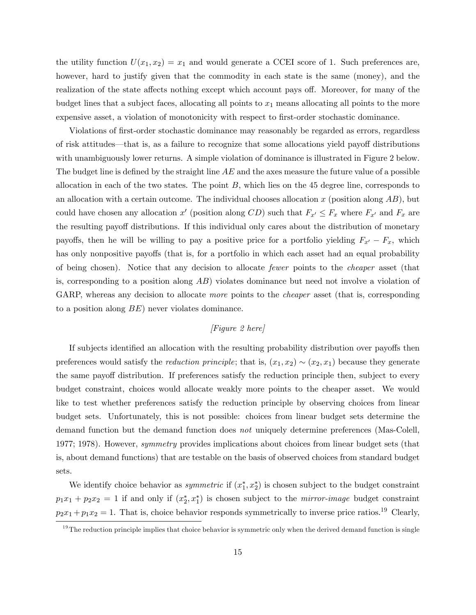the utility function  $U(x_1, x_2) = x_1$  and would generate a CCEI score of 1. Such preferences are, however, hard to justify given that the commodity in each state is the same (money), and the realization of the state affects nothing except which account pays off. Moreover, for many of the budget lines that a subject faces, allocating all points to  $x_1$  means allocating all points to the more expensive asset, a violation of monotonicity with respect to first-order stochastic dominance.

Violations of first-order stochastic dominance may reasonably be regarded as errors, regardless of risk attitudes—that is, as a failure to recognize that some allocations yield payoff distributions with unambiguously lower returns. A simple violation of dominance is illustrated in Figure 2 below. The budget line is defined by the straight line  $AE$  and the axes measure the future value of a possible allocation in each of the two states. The point  $B$ , which lies on the 45 degree line, corresponds to an allocation with a certain outcome. The individual chooses allocation x (position along  $AB$ ), but could have chosen any allocation  $x'$  (position along  $CD$ ) such that  $F_{x'} \leq F_x$  where  $F_{x'}$  and  $F_x$  are the resulting payoff distributions. If this individual only cares about the distribution of monetary payoffs, then he will be willing to pay a positive price for a portfolio yielding  $F_{x'} - F_x$ , which has only nonpositive payoffs (that is, for a portfolio in which each asset had an equal probability of being chosen). Notice that any decision to allocate fewer points to the cheaper asset (that is, corresponding to a position along AB) violates dominance but need not involve a violation of GARP, whereas any decision to allocate *more* points to the *cheaper* asset (that is, corresponding to a position along BE) never violates dominance.

### [Figure 2 here]

If subjects identified an allocation with the resulting probability distribution over payoffs then preferences would satisfy the *reduction principle*; that is,  $(x_1, x_2) \sim (x_2, x_1)$  because they generate the same payoff distribution. If preferences satisfy the reduction principle then, subject to every budget constraint, choices would allocate weakly more points to the cheaper asset. We would like to test whether preferences satisfy the reduction principle by observing choices from linear budget sets. Unfortunately, this is not possible: choices from linear budget sets determine the demand function but the demand function does not uniquely determine preferences (Mas-Colell, 1977; 1978). However, *symmetry* provides implications about choices from linear budget sets (that is, about demand functions) that are testable on the basis of observed choices from standard budget sets.

We identify choice behavior as *symmetric* if  $(x_1^*, x_2^*)$  is chosen subject to the budget constraint  $p_1x_1 + p_2x_2 = 1$  if and only if  $(x_2^*, x_1^*)$  is chosen subject to the *mirror-image* budget constraint  $p_2x_1 + p_1x_2 = 1$ . That is, choice behavior responds symmetrically to inverse price ratios.<sup>19</sup> Clearly,

 $19$ The reduction principle implies that choice behavior is symmetric only when the derived demand function is single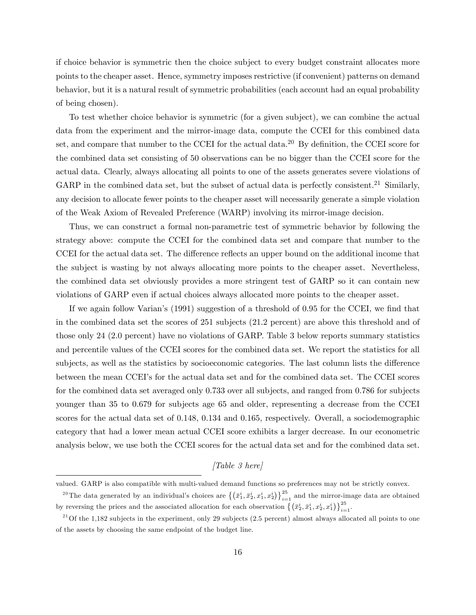if choice behavior is symmetric then the choice subject to every budget constraint allocates more points to the cheaper asset. Hence, symmetry imposes restrictive (if convenient) patterns on demand behavior, but it is a natural result of symmetric probabilities (each account had an equal probability of being chosen).

To test whether choice behavior is symmetric (for a given subject), we can combine the actual data from the experiment and the mirror-image data, compute the CCEI for this combined data set, and compare that number to the CCEI for the actual data.<sup>20</sup> By definition, the CCEI score for the combined data set consisting of 50 observations can be no bigger than the CCEI score for the actual data. Clearly, always allocating all points to one of the assets generates severe violations of GARP in the combined data set, but the subset of actual data is perfectly consistent.<sup>21</sup> Similarly, any decision to allocate fewer points to the cheaper asset will necessarily generate a simple violation of the Weak Axiom of Revealed Preference (WARP) involving its mirror-image decision.

Thus, we can construct a formal non-parametric test of symmetric behavior by following the strategy above: compute the CCEI for the combined data set and compare that number to the CCEI for the actual data set. The difference reflects an upper bound on the additional income that the subject is wasting by not always allocating more points to the cheaper asset. Nevertheless, the combined data set obviously provides a more stringent test of GARP so it can contain new violations of GARP even if actual choices always allocated more points to the cheaper asset.

If we again follow Varian's  $(1991)$  suggestion of a threshold of 0.95 for the CCEI, we find that in the combined data set the scores of 251 subjects (21.2 percent) are above this threshold and of those only 24 (2.0 percent) have no violations of GARP. Table 3 below reports summary statistics and percentile values of the CCEI scores for the combined data set. We report the statistics for all subjects, as well as the statistics by socioeconomic categories. The last column lists the difference between the mean CCEIís for the actual data set and for the combined data set. The CCEI scores for the combined data set averaged only 0.733 over all subjects, and ranged from 0.786 for subjects younger than 35 to 0.679 for subjects age 65 and older, representing a decrease from the CCEI scores for the actual data set of 0.148, 0.134 and 0.165, respectively. Overall, a sociodemographic category that had a lower mean actual CCEI score exhibits a larger decrease. In our econometric analysis below, we use both the CCEI scores for the actual data set and for the combined data set.

[Table 3 here]

valued. GARP is also compatible with multi-valued demand functions so preferences may not be strictly convex.

<sup>&</sup>lt;sup>20</sup>The data generated by an individual's choices are  $\{(\bar{x}_1^i, \bar{x}_2^i, x_1^i, x_2^i)\}_{i=1}^{25}$  and the mirror-image data are obtained by reversing the prices and the associated allocation for each observation  $\{(\bar{x}_2^i, \bar{x}_1^i, x_2^i, x_1^i)\}_{i=1}^{25}$ .

<sup>&</sup>lt;sup>21</sup>Of the 1,182 subjects in the experiment, only 29 subjects (2.5 percent) almost always allocated all points to one of the assets by choosing the same endpoint of the budget line.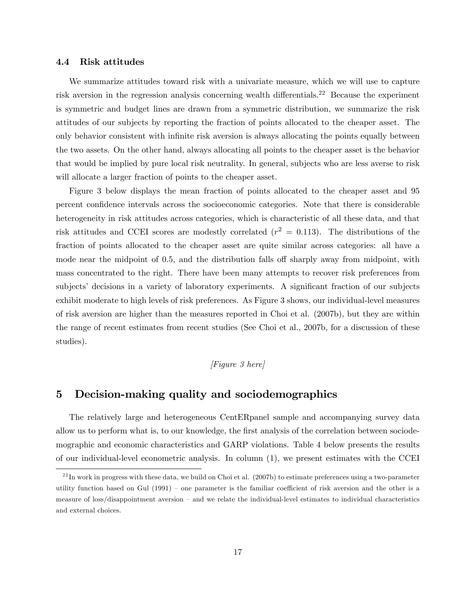#### 4.4 Risk attitudes

We summarize attitudes toward risk with a univariate measure, which we will use to capture risk aversion in the regression analysis concerning wealth differentials.<sup>22</sup> Because the experiment is symmetric and budget lines are drawn from a symmetric distribution, we summarize the risk attitudes of our subjects by reporting the fraction of points allocated to the cheaper asset. The only behavior consistent with infinite risk aversion is always allocating the points equally between the two assets. On the other hand, always allocating all points to the cheaper asset is the behavior that would be implied by pure local risk neutrality. In general, subjects who are less averse to risk will allocate a larger fraction of points to the cheaper asset.

Figure 3 below displays the mean fraction of points allocated to the cheaper asset and 95 percent confidence intervals across the socioeconomic categories. Note that there is considerable heterogeneity in risk attitudes across categories, which is characteristic of all these data, and that risk attitudes and CCEI scores are modestly correlated  $(r^2 = 0.113)$ . The distributions of the fraction of points allocated to the cheaper asset are quite similar across categories: all have a mode near the midpoint of 0.5, and the distribution falls off sharply away from midpoint, with mass concentrated to the right. There have been many attempts to recover risk preferences from subjects' decisions in a variety of laboratory experiments. A significant fraction of our subjects exhibit moderate to high levels of risk preferences. As Figure 3 shows, our individual-level measures of risk aversion are higher than the measures reported in Choi et al. (2007b), but they are within the range of recent estimates from recent studies (See Choi et al., 2007b, for a discussion of these studies).

### [Figure 3 here]

### 5 Decision-making quality and sociodemographics

The relatively large and heterogeneous CentERpanel sample and accompanying survey data allow us to perform what is, to our knowledge, the first analysis of the correlation between sociodemographic and economic characteristics and GARP violations. Table 4 below presents the results of our individual-level econometric analysis. In column (1), we present estimates with the CCEI

 $^{22}$ In work in progress with these data, we build on Choi et al. (2007b) to estimate preferences using a two-parameter utility function based on Gul  $(1991)$  – one parameter is the familiar coefficient of risk aversion and the other is a measure of loss/disappointment aversion  $-$  and we relate the individual-level estimates to individual characteristics and external choices.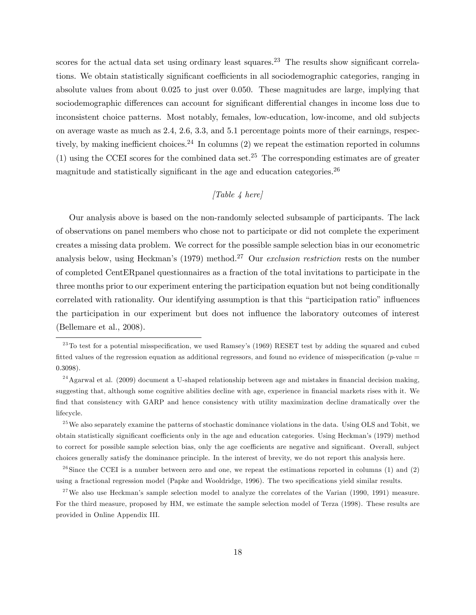scores for the actual data set using ordinary least squares.<sup>23</sup> The results show significant correlations. We obtain statistically significant coefficients in all sociodemographic categories, ranging in absolute values from about 0.025 to just over 0.050. These magnitudes are large, implying that sociodemographic differences can account for significant differential changes in income loss due to inconsistent choice patterns. Most notably, females, low-education, low-income, and old subjects on average waste as much as 2.4, 2.6, 3.3, and 5.1 percentage points more of their earnings, respectively, by making inefficient choices.<sup>24</sup> In columns  $(2)$  we repeat the estimation reported in columns  $(1)$  using the CCEI scores for the combined data set.<sup>25</sup> The corresponding estimates are of greater magnitude and statistically significant in the age and education categories.<sup>26</sup>

### $[Table 4 here]$

Our analysis above is based on the non-randomly selected subsample of participants. The lack of observations on panel members who chose not to participate or did not complete the experiment creates a missing data problem. We correct for the possible sample selection bias in our econometric analysis below, using Heckman's (1979) method.<sup>27</sup> Our exclusion restriction rests on the number of completed CentERpanel questionnaires as a fraction of the total invitations to participate in the three months prior to our experiment entering the participation equation but not being conditionally correlated with rationality. Our identifying assumption is that this "participation ratio" influences the participation in our experiment but does not ináuence the laboratory outcomes of interest (Bellemare et al., 2008).

 $^{23}$ To test for a potential misspecification, we used Ramsey's (1969) RESET test by adding the squared and cubed fitted values of the regression equation as additional regressors, and found no evidence of misspecification (p-value  $=$ 0:3098).

 $24$ Agarwal et al. (2009) document a U-shaped relationship between age and mistakes in financial decision making, suggesting that, although some cognitive abilities decline with age, experience in financial markets rises with it. We find that consistency with GARP and hence consistency with utility maximization decline dramatically over the lifecycle.

 $^{25}$  We also separately examine the patterns of stochastic dominance violations in the data. Using OLS and Tobit, we obtain statistically significant coefficients only in the age and education categories. Using Heckman's (1979) method to correct for possible sample selection bias, only the age coefficients are negative and significant. Overall, subject choices generally satisfy the dominance principle. In the interest of brevity, we do not report this analysis here.

 $^{26}$ Since the CCEI is a number between zero and one, we repeat the estimations reported in columns (1) and (2) using a fractional regression model (Papke and Wooldridge, 1996). The two specifications yield similar results.

 $27$ We also use Heckman's sample selection model to analyze the correlates of the Varian (1990, 1991) measure. For the third measure, proposed by HM, we estimate the sample selection model of Terza (1998). These results are provided in Online Appendix III.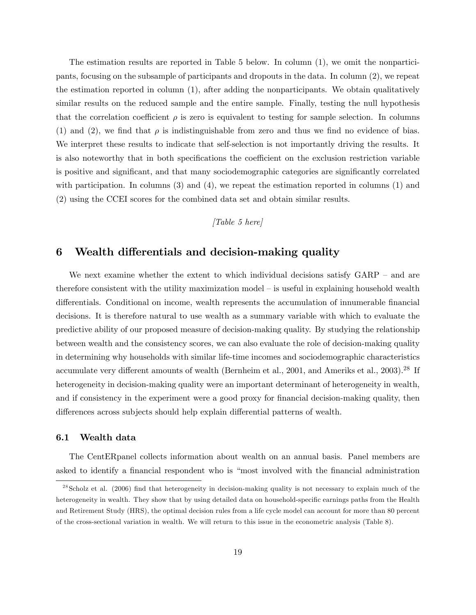The estimation results are reported in Table 5 below. In column (1), we omit the nonparticipants, focusing on the subsample of participants and dropouts in the data. In column (2), we repeat the estimation reported in column (1), after adding the nonparticipants. We obtain qualitatively similar results on the reduced sample and the entire sample. Finally, testing the null hypothesis that the correlation coefficient  $\rho$  is zero is equivalent to testing for sample selection. In columns (1) and (2), we find that  $\rho$  is indistinguishable from zero and thus we find no evidence of bias. We interpret these results to indicate that self-selection is not importantly driving the results. It is also noteworthy that in both specifications the coefficient on the exclusion restriction variable is positive and significant, and that many sociodemographic categories are significantly correlated with participation. In columns (3) and (4), we repeat the estimation reported in columns (1) and (2) using the CCEI scores for the combined data set and obtain similar results.

## $[Table 5 here]$

### 6 Wealth differentials and decision-making quality

We next examine whether the extent to which individual decisions satisfy  $\text{GARP}$  – and are therefore consistent with the utility maximization model  $-$  is useful in explaining household wealth differentials. Conditional on income, wealth represents the accumulation of innumerable financial decisions. It is therefore natural to use wealth as a summary variable with which to evaluate the predictive ability of our proposed measure of decision-making quality. By studying the relationship between wealth and the consistency scores, we can also evaluate the role of decision-making quality in determining why households with similar life-time incomes and sociodemographic characteristics accumulate very different amounts of wealth (Bernheim et al., 2001, and Ameriks et al., 2003).<sup>28</sup> If heterogeneity in decision-making quality were an important determinant of heterogeneity in wealth, and if consistency in the experiment were a good proxy for financial decision-making quality, then differences across subjects should help explain differential patterns of wealth.

#### 6.1 Wealth data

The CentERpanel collects information about wealth on an annual basis. Panel members are asked to identify a financial respondent who is "most involved with the financial administration

 $^{28}$ Scholz et al. (2006) find that heterogeneity in decision-making quality is not necessary to explain much of the heterogeneity in wealth. They show that by using detailed data on household-specific earnings paths from the Health and Retirement Study (HRS), the optimal decision rules from a life cycle model can account for more than 80 percent of the cross-sectional variation in wealth. We will return to this issue in the econometric analysis (Table 8).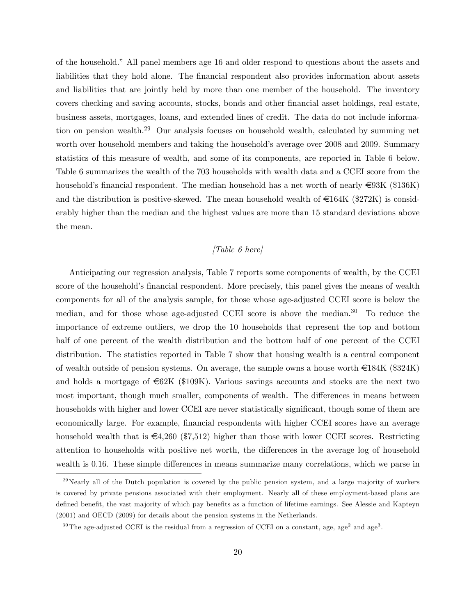of the household." All panel members age 16 and older respond to questions about the assets and liabilities that they hold alone. The financial respondent also provides information about assets and liabilities that are jointly held by more than one member of the household. The inventory covers checking and saving accounts, stocks, bonds and other Önancial asset holdings, real estate, business assets, mortgages, loans, and extended lines of credit. The data do not include information on pension wealth.<sup>29</sup> Our analysis focuses on household wealth, calculated by summing net worth over household members and taking the household's average over 2008 and 2009. Summary statistics of this measure of wealth, and some of its components, are reported in Table 6 below. Table 6 summarizes the wealth of the 703 households with wealth data and a CCEI score from the household's financial respondent. The median household has a net worth of nearly  $\in$ 93K (\$136K) and the distribution is positive-skewed. The mean household wealth of  $\epsilon$ 164K (\$272K) is considerably higher than the median and the highest values are more than 15 standard deviations above the mean.

### $[Table 6 here]$

Anticipating our regression analysis, Table 7 reports some components of wealth, by the CCEI score of the household's financial respondent. More precisely, this panel gives the means of wealth components for all of the analysis sample, for those whose age-adjusted CCEI score is below the median, and for those whose age-adjusted CCEI score is above the median.<sup>30</sup> To reduce the importance of extreme outliers, we drop the 10 households that represent the top and bottom half of one percent of the wealth distribution and the bottom half of one percent of the CCEI distribution. The statistics reported in Table 7 show that housing wealth is a central component of wealth outside of pension systems. On average, the sample owns a house worth  $\epsilon$ 184K (\$324K) and holds a mortgage of  $\epsilon$ 62K (\$109K). Various savings accounts and stocks are the next two most important, though much smaller, components of wealth. The differences in means between households with higher and lower CCEI are never statistically significant, though some of them are economically large. For example, financial respondents with higher CCEI scores have an average household wealth that is  $\epsilon_{4,260}$  (\$7,512) higher than those with lower CCEI scores. Restricting attention to households with positive net worth, the differences in the average log of household wealth is 0.16. These simple differences in means summarize many correlations, which we parse in

 $^{29}$ Nearly all of the Dutch population is covered by the public pension system, and a large majority of workers is covered by private pensions associated with their employment. Nearly all of these employment-based plans are defined benefit, the vast majority of which pay benefits as a function of lifetime earnings. See Alessie and Kapteyn (2001) and OECD (2009) for details about the pension systems in the Netherlands.

<sup>&</sup>lt;sup>30</sup>The age-adjusted CCEI is the residual from a regression of CCEI on a constant, age, age<sup>2</sup> and age<sup>3</sup>.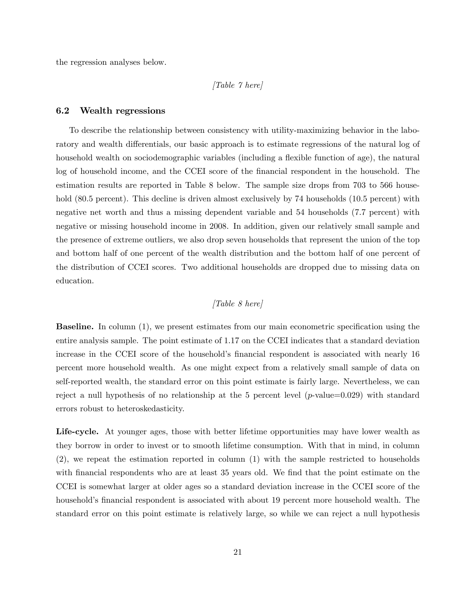the regression analyses below.

#### [Table 7 here]

#### 6.2 Wealth regressions

To describe the relationship between consistency with utility-maximizing behavior in the laboratory and wealth differentials, our basic approach is to estimate regressions of the natural log of household wealth on sociodemographic variables (including a flexible function of age), the natural log of household income, and the CCEI score of the financial respondent in the household. The estimation results are reported in Table 8 below. The sample size drops from 703 to 566 household (80.5 percent). This decline is driven almost exclusively by 74 households (10.5 percent) with negative net worth and thus a missing dependent variable and 54 households (7.7 percent) with negative or missing household income in 2008. In addition, given our relatively small sample and the presence of extreme outliers, we also drop seven households that represent the union of the top and bottom half of one percent of the wealth distribution and the bottom half of one percent of the distribution of CCEI scores. Two additional households are dropped due to missing data on education.

### [Table 8 here]

**Baseline.** In column (1), we present estimates from our main econometric specification using the entire analysis sample. The point estimate of 1.17 on the CCEI indicates that a standard deviation increase in the CCEI score of the household's financial respondent is associated with nearly 16 percent more household wealth. As one might expect from a relatively small sample of data on self-reported wealth, the standard error on this point estimate is fairly large. Nevertheless, we can reject a null hypothesis of no relationship at the 5 percent level  $(p$ -value=0.029) with standard errors robust to heteroskedasticity.

Life-cycle. At younger ages, those with better lifetime opportunities may have lower wealth as they borrow in order to invest or to smooth lifetime consumption. With that in mind, in column (2), we repeat the estimation reported in column (1) with the sample restricted to households with financial respondents who are at least 35 years old. We find that the point estimate on the CCEI is somewhat larger at older ages so a standard deviation increase in the CCEI score of the household's financial respondent is associated with about 19 percent more household wealth. The standard error on this point estimate is relatively large, so while we can reject a null hypothesis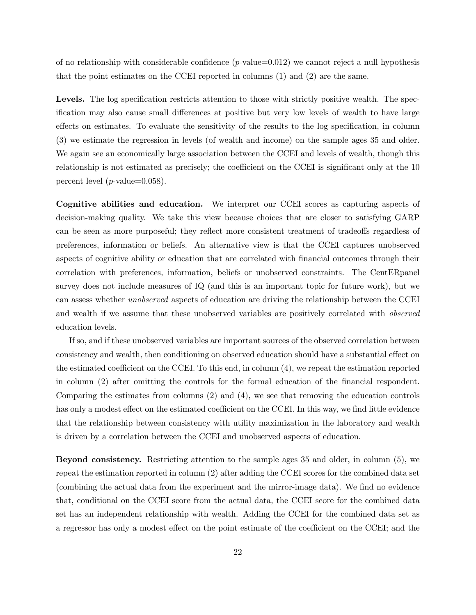of no relationship with considerable confidence  $(p$ -value=0.012) we cannot reject a null hypothesis that the point estimates on the CCEI reported in columns (1) and (2) are the same.

Levels. The log specification restricts attention to those with strictly positive wealth. The specification may also cause small differences at positive but very low levels of wealth to have large effects on estimates. To evaluate the sensitivity of the results to the log specification, in column (3) we estimate the regression in levels (of wealth and income) on the sample ages 35 and older. We again see an economically large association between the CCEI and levels of wealth, though this relationship is not estimated as precisely; the coefficient on the CCEI is significant only at the 10 percent level ( $p$ -value=0.058).

Cognitive abilities and education. We interpret our CCEI scores as capturing aspects of decision-making quality. We take this view because choices that are closer to satisfying GARP can be seen as more purposeful; they reflect more consistent treatment of tradeoffs regardless of preferences, information or beliefs. An alternative view is that the CCEI captures unobserved aspects of cognitive ability or education that are correlated with financial outcomes through their correlation with preferences, information, beliefs or unobserved constraints. The CentERpanel survey does not include measures of IQ (and this is an important topic for future work), but we can assess whether unobserved aspects of education are driving the relationship between the CCEI and wealth if we assume that these unobserved variables are positively correlated with *observed* education levels.

If so, and if these unobserved variables are important sources of the observed correlation between consistency and wealth, then conditioning on observed education should have a substantial effect on the estimated coefficient on the CCEI. To this end, in column  $(4)$ , we repeat the estimation reported in column (2) after omitting the controls for the formal education of the Önancial respondent. Comparing the estimates from columns (2) and (4), we see that removing the education controls has only a modest effect on the estimated coefficient on the CCEI. In this way, we find little evidence that the relationship between consistency with utility maximization in the laboratory and wealth is driven by a correlation between the CCEI and unobserved aspects of education.

Beyond consistency. Restricting attention to the sample ages 35 and older, in column (5), we repeat the estimation reported in column (2) after adding the CCEI scores for the combined data set (combining the actual data from the experiment and the mirror-image data). We find no evidence that, conditional on the CCEI score from the actual data, the CCEI score for the combined data set has an independent relationship with wealth. Adding the CCEI for the combined data set as a regressor has only a modest effect on the point estimate of the coefficient on the CCEI; and the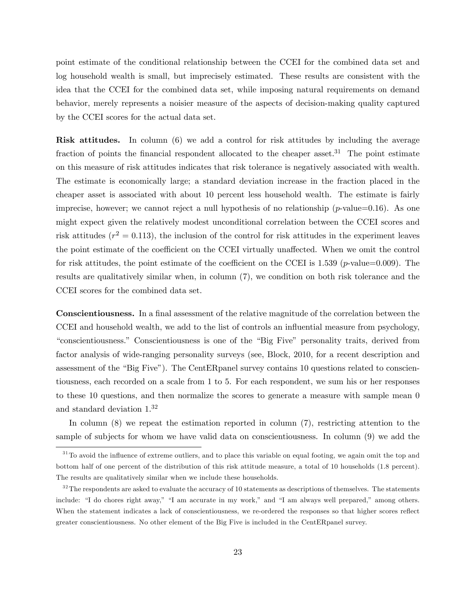point estimate of the conditional relationship between the CCEI for the combined data set and log household wealth is small, but imprecisely estimated. These results are consistent with the idea that the CCEI for the combined data set, while imposing natural requirements on demand behavior, merely represents a noisier measure of the aspects of decision-making quality captured by the CCEI scores for the actual data set.

Risk attitudes. In column (6) we add a control for risk attitudes by including the average fraction of points the financial respondent allocated to the cheaper asset.<sup>31</sup> The point estimate on this measure of risk attitudes indicates that risk tolerance is negatively associated with wealth. The estimate is economically large; a standard deviation increase in the fraction placed in the cheaper asset is associated with about 10 percent less household wealth. The estimate is fairly imprecise, however; we cannot reject a null hypothesis of no relationship  $(p$ -value=0.16). As one might expect given the relatively modest unconditional correlation between the CCEI scores and risk attitudes ( $r^2 = 0.113$ ), the inclusion of the control for risk attitudes in the experiment leaves the point estimate of the coefficient on the CCEI virtually unaffected. When we omit the control for risk attitudes, the point estimate of the coefficient on the CCEI is 1.539 ( $p$ -value=0.009). The results are qualitatively similar when, in column (7), we condition on both risk tolerance and the CCEI scores for the combined data set.

**Conscientiousness.** In a final assessment of the relative magnitude of the correlation between the CCEI and household wealth, we add to the list of controls an influential measure from psychology, "conscientiousness." Conscientiousness is one of the "Big Five" personality traits, derived from factor analysis of wide-ranging personality surveys (see, Block, 2010, for a recent description and assessment of the "Big Five"). The CentERpanel survey contains 10 questions related to conscientiousness, each recorded on a scale from 1 to 5. For each respondent, we sum his or her responses to these 10 questions, and then normalize the scores to generate a measure with sample mean 0 and standard deviation 1.<sup>32</sup>

In column (8) we repeat the estimation reported in column (7), restricting attention to the sample of subjects for whom we have valid data on conscientiousness. In column (9) we add the

 $31$ To avoid the influence of extreme outliers, and to place this variable on equal footing, we again omit the top and bottom half of one percent of the distribution of this risk attitude measure, a total of 10 households (1.8 percent). The results are qualitatively similar when we include these households.

 $3<sup>32</sup>$ The respondents are asked to evaluate the accuracy of 10 statements as descriptions of themselves. The statements include: "I do chores right away," "I am accurate in my work," and "I am always well prepared," among others. When the statement indicates a lack of conscientiousness, we re-ordered the responses so that higher scores reflect greater conscientiousness. No other element of the Big Five is included in the CentERpanel survey.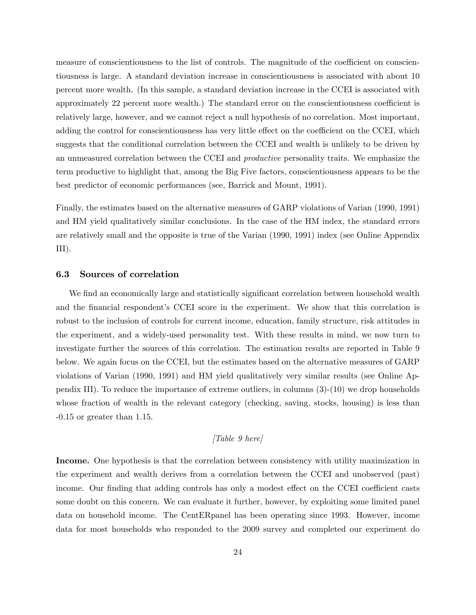measure of conscientiousness to the list of controls. The magnitude of the coefficient on conscientiousness is large. A standard deviation increase in conscientiousness is associated with about 10 percent more wealth. (In this sample, a standard deviation increase in the CCEI is associated with approximately 22 percent more wealth.) The standard error on the conscientiousness coefficient is relatively large, however, and we cannot reject a null hypothesis of no correlation. Most important, adding the control for conscientiousness has very little effect on the coefficient on the CCEI, which suggests that the conditional correlation between the CCEI and wealth is unlikely to be driven by an unmeasured correlation between the CCEI and productive personality traits. We emphasize the term productive to highlight that, among the Big Five factors, conscientiousness appears to be the best predictor of economic performances (see, Barrick and Mount, 1991).

Finally, the estimates based on the alternative measures of GARP violations of Varian (1990, 1991) and HM yield qualitatively similar conclusions. In the case of the HM index, the standard errors are relatively small and the opposite is true of the Varian (1990, 1991) index (see Online Appendix  $III$ ).

#### 6.3 Sources of correlation

We find an economically large and statistically significant correlation between household wealth and the financial respondent's CCEI score in the experiment. We show that this correlation is robust to the inclusion of controls for current income, education, family structure, risk attitudes in the experiment, and a widely-used personality test. With these results in mind, we now turn to investigate further the sources of this correlation. The estimation results are reported in Table 9 below. We again focus on the CCEI, but the estimates based on the alternative measures of GARP violations of Varian (1990, 1991) and HM yield qualitatively very similar results (see Online Appendix III). To reduce the importance of extreme outliers, in columns (3)-(10) we drop households whose fraction of wealth in the relevant category (checking, saving, stocks, housing) is less than -0.15 or greater than 1.15.

#### $[Table 9 here]$

Income. One hypothesis is that the correlation between consistency with utility maximization in the experiment and wealth derives from a correlation between the CCEI and unobserved (past) income. Our finding that adding controls has only a modest effect on the CCEI coefficient casts some doubt on this concern. We can evaluate it further, however, by exploiting some limited panel data on household income. The CentERpanel has been operating since 1993. However, income data for most households who responded to the 2009 survey and completed our experiment do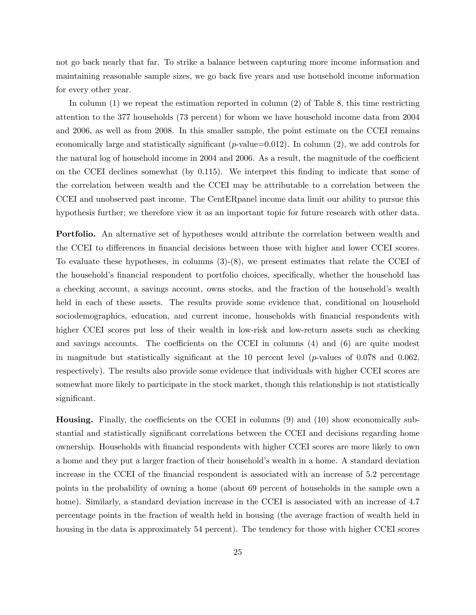not go back nearly that far. To strike a balance between capturing more income information and maintaining reasonable sample sizes, we go back Öve years and use household income information for every other year.

In column (1) we repeat the estimation reported in column (2) of Table 8, this time restricting attention to the 377 households (73 percent) for whom we have household income data from 2004 and 2006, as well as from 2008. In this smaller sample, the point estimate on the CCEI remains economically large and statistically significant ( $p$ -value=0.012). In column (2), we add controls for the natural log of household income in 2004 and 2006. As a result, the magnitude of the coefficient on the CCEI declines somewhat (by 0.115). We interpret this Önding to indicate that some of the correlation between wealth and the CCEI may be attributable to a correlation between the CCEI and unobserved past income. The CentERpanel income data limit our ability to pursue this hypothesis further; we therefore view it as an important topic for future research with other data.

Portfolio. An alternative set of hypotheses would attribute the correlation between wealth and the CCEI to differences in financial decisions between those with higher and lower CCEI scores. To evaluate these hypotheses, in columns (3)-(8), we present estimates that relate the CCEI of the household's financial respondent to portfolio choices, specifically, whether the household has a checking account, a savings account, owns stocks, and the fraction of the household's wealth held in each of these assets. The results provide some evidence that, conditional on household sociodemographics, education, and current income, households with financial respondents with higher CCEI scores put less of their wealth in low-risk and low-return assets such as checking and savings accounts. The coefficients on the CCEI in columns  $(4)$  and  $(6)$  are quite modest in magnitude but statistically significant at the 10 percent level ( $p$ -values of 0.078 and 0.062, respectively). The results also provide some evidence that individuals with higher CCEI scores are somewhat more likely to participate in the stock market, though this relationship is not statistically significant.

**Housing.** Finally, the coefficients on the CCEI in columns  $(9)$  and  $(10)$  show economically substantial and statistically significant correlations between the CCEI and decisions regarding home ownership. Households with Önancial respondents with higher CCEI scores are more likely to own a home and they put a larger fraction of their household's wealth in a home. A standard deviation increase in the CCEI of the financial respondent is associated with an increase of 5.2 percentage points in the probability of owning a home (about 69 percent of households in the sample own a home). Similarly, a standard deviation increase in the CCEI is associated with an increase of 4.7 percentage points in the fraction of wealth held in housing (the average fraction of wealth held in housing in the data is approximately 54 percent). The tendency for those with higher CCEI scores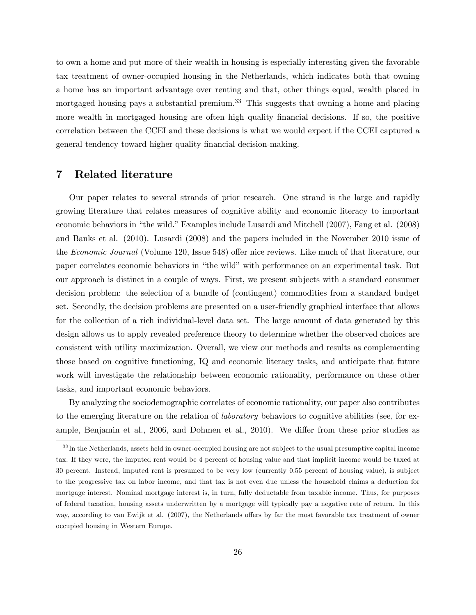to own a home and put more of their wealth in housing is especially interesting given the favorable tax treatment of owner-occupied housing in the Netherlands, which indicates both that owning a home has an important advantage over renting and that, other things equal, wealth placed in mortgaged housing pays a substantial premium.<sup>33</sup> This suggests that owning a home and placing more wealth in mortgaged housing are often high quality financial decisions. If so, the positive correlation between the CCEI and these decisions is what we would expect if the CCEI captured a general tendency toward higher quality financial decision-making.

## 7 Related literature

Our paper relates to several strands of prior research. One strand is the large and rapidly growing literature that relates measures of cognitive ability and economic literacy to important economic behaviors in "the wild." Examples include Lusardi and Mitchell (2007), Fang et al. (2008) and Banks et al. (2010). Lusardi (2008) and the papers included in the November 2010 issue of the Economic Journal (Volume 120, Issue 548) offer nice reviews. Like much of that literature, our paper correlates economic behaviors in "the wild" with performance on an experimental task. But our approach is distinct in a couple of ways. First, we present subjects with a standard consumer decision problem: the selection of a bundle of (contingent) commodities from a standard budget set. Secondly, the decision problems are presented on a user-friendly graphical interface that allows for the collection of a rich individual-level data set. The large amount of data generated by this design allows us to apply revealed preference theory to determine whether the observed choices are consistent with utility maximization. Overall, we view our methods and results as complementing those based on cognitive functioning, IQ and economic literacy tasks, and anticipate that future work will investigate the relationship between economic rationality, performance on these other tasks, and important economic behaviors.

By analyzing the sociodemographic correlates of economic rationality, our paper also contributes to the emerging literature on the relation of laboratory behaviors to cognitive abilities (see, for example, Benjamin et al., 2006, and Dohmen et al., 2010). We differ from these prior studies as

 $33$  In the Netherlands, assets held in owner-occupied housing are not subject to the usual presumptive capital income tax. If they were, the imputed rent would be 4 percent of housing value and that implicit income would be taxed at 30 percent. Instead, imputed rent is presumed to be very low (currently 0.55 percent of housing value), is subject to the progressive tax on labor income, and that tax is not even due unless the household claims a deduction for mortgage interest. Nominal mortgage interest is, in turn, fully deductable from taxable income. Thus, for purposes of federal taxation, housing assets underwritten by a mortgage will typically pay a negative rate of return. In this way, according to van Ewijk et al. (2007), the Netherlands offers by far the most favorable tax treatment of owner occupied housing in Western Europe.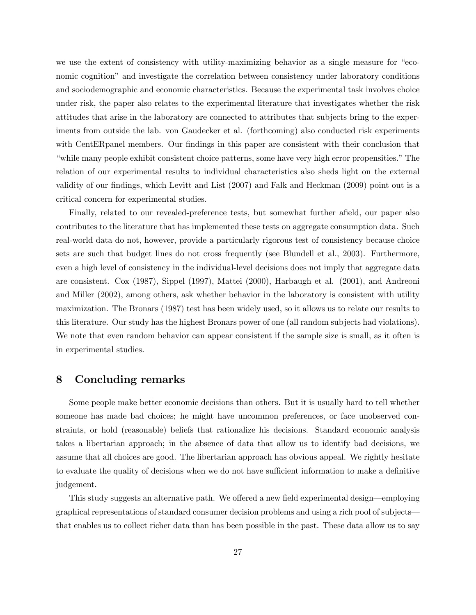we use the extent of consistency with utility-maximizing behavior as a single measure for "economic cognitionî and investigate the correlation between consistency under laboratory conditions and sociodemographic and economic characteristics. Because the experimental task involves choice under risk, the paper also relates to the experimental literature that investigates whether the risk attitudes that arise in the laboratory are connected to attributes that subjects bring to the experiments from outside the lab. von Gaudecker et al. (forthcoming) also conducted risk experiments with CentER panel members. Our findings in this paper are consistent with their conclusion that "while many people exhibit consistent choice patterns, some have very high error propensities." The relation of our experimental results to individual characteristics also sheds light on the external validity of our findings, which Levitt and List (2007) and Falk and Heckman (2009) point out is a critical concern for experimental studies.

Finally, related to our revealed-preference tests, but somewhat further afield, our paper also contributes to the literature that has implemented these tests on aggregate consumption data. Such real-world data do not, however, provide a particularly rigorous test of consistency because choice sets are such that budget lines do not cross frequently (see Blundell et al., 2003). Furthermore, even a high level of consistency in the individual-level decisions does not imply that aggregate data are consistent. Cox (1987), Sippel (1997), Mattei (2000), Harbaugh et al. (2001), and Andreoni and Miller (2002), among others, ask whether behavior in the laboratory is consistent with utility maximization. The Bronars (1987) test has been widely used, so it allows us to relate our results to this literature. Our study has the highest Bronars power of one (all random subjects had violations). We note that even random behavior can appear consistent if the sample size is small, as it often is in experimental studies.

## 8 Concluding remarks

Some people make better economic decisions than others. But it is usually hard to tell whether someone has made bad choices; he might have uncommon preferences, or face unobserved constraints, or hold (reasonable) beliefs that rationalize his decisions. Standard economic analysis takes a libertarian approach; in the absence of data that allow us to identify bad decisions, we assume that all choices are good. The libertarian approach has obvious appeal. We rightly hesitate to evaluate the quality of decisions when we do not have sufficient information to make a definitive judgement.

This study suggests an alternative path. We offered a new field experimental design—employing graphical representations of standard consumer decision problems and using a rich pool of subjects that enables us to collect richer data than has been possible in the past. These data allow us to say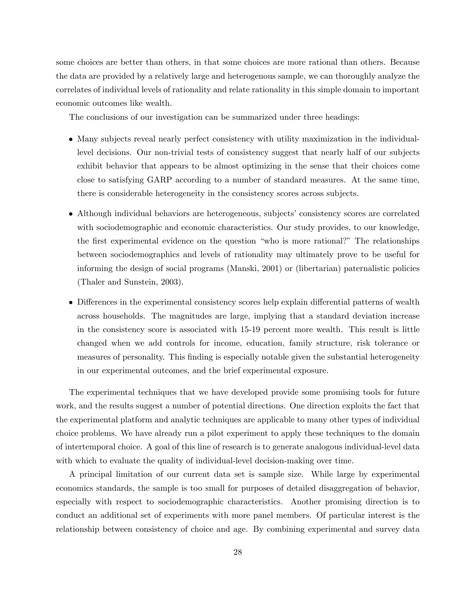some choices are better than others, in that some choices are more rational than others. Because the data are provided by a relatively large and heterogenous sample, we can thoroughly analyze the correlates of individual levels of rationality and relate rationality in this simple domain to important economic outcomes like wealth.

The conclusions of our investigation can be summarized under three headings:

- Many subjects reveal nearly perfect consistency with utility maximization in the individuallevel decisions. Our non-trivial tests of consistency suggest that nearly half of our subjects exhibit behavior that appears to be almost optimizing in the sense that their choices come close to satisfying GARP according to a number of standard measures. At the same time, there is considerable heterogeneity in the consistency scores across subjects.
- Although individual behaviors are heterogeneous, subjects' consistency scores are correlated with sociodemographic and economic characteristics. Our study provides, to our knowledge, the first experimental evidence on the question "who is more rational?" The relationships between sociodemographics and levels of rationality may ultimately prove to be useful for informing the design of social programs (Manski, 2001) or (libertarian) paternalistic policies (Thaler and Sunstein, 2003).
- Differences in the experimental consistency scores help explain differential patterns of wealth across households. The magnitudes are large, implying that a standard deviation increase in the consistency score is associated with 15-19 percent more wealth. This result is little changed when we add controls for income, education, family structure, risk tolerance or measures of personality. This finding is especially notable given the substantial heterogeneity in our experimental outcomes, and the brief experimental exposure.

The experimental techniques that we have developed provide some promising tools for future work, and the results suggest a number of potential directions. One direction exploits the fact that the experimental platform and analytic techniques are applicable to many other types of individual choice problems. We have already run a pilot experiment to apply these techniques to the domain of intertemporal choice. A goal of this line of research is to generate analogous individual-level data with which to evaluate the quality of individual-level decision-making over time.

A principal limitation of our current data set is sample size. While large by experimental economics standards, the sample is too small for purposes of detailed disaggregation of behavior, especially with respect to sociodemographic characteristics. Another promising direction is to conduct an additional set of experiments with more panel members. Of particular interest is the relationship between consistency of choice and age. By combining experimental and survey data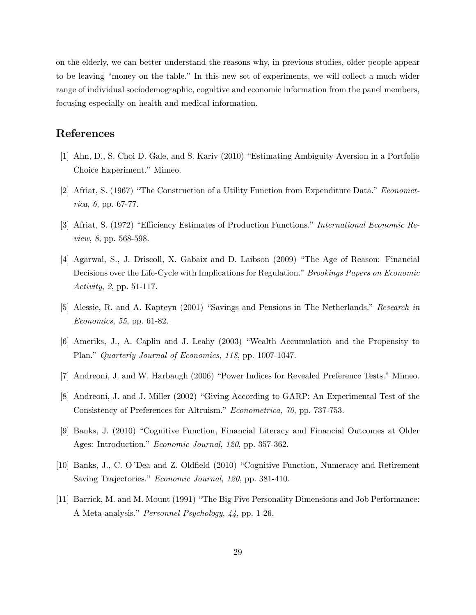on the elderly, we can better understand the reasons why, in previous studies, older people appear to be leaving "money on the table." In this new set of experiments, we will collect a much wider range of individual sociodemographic, cognitive and economic information from the panel members, focusing especially on health and medical information.

### References

- [1] Ahn, D., S. Choi D. Gale, and S. Kariv (2010) "Estimating Ambiguity Aversion in a Portfolio Choice Experiment." Mimeo.
- [2] Afriat, S. (1967) "The Construction of a Utility Function from Expenditure Data." *Economet*rica, 6, pp. 67-77.
- [3] Afriat, S. (1972) "Efficiency Estimates of Production Functions." International Economic Review, 8, pp. 568-598.
- [4] Agarwal, S., J. Driscoll, X. Gabaix and D. Laibson (2009) "The Age of Reason: Financial Decisions over the Life-Cycle with Implications for Regulation." Brookings Papers on Economic Activity, 2, pp. 51-117.
- [5] Alessie, R. and A. Kapteyn (2001) "Savings and Pensions in The Netherlands." Research in Economics, 55, pp. 61-82.
- [6] Ameriks, J., A. Caplin and J. Leahy (2003) "Wealth Accumulation and the Propensity to Plan." Quarterly Journal of Economics, 118, pp. 1007-1047.
- [7] Andreoni, J. and W. Harbaugh (2006) "Power Indices for Revealed Preference Tests." Mimeo.
- [8] Andreoni, J. and J. Miller (2002) "Giving According to GARP: An Experimental Test of the Consistency of Preferences for Altruism." Econometrica, 70, pp. 737-753.
- [9] Banks, J. (2010) "Cognitive Function, Financial Literacy and Financial Outcomes at Older Ages: Introduction." Economic Journal, 120, pp. 357-362.
- [10] Banks, J., C. O'Dea and Z. Oldfield (2010) "Cognitive Function, Numeracy and Retirement Saving Trajectories." Economic Journal, 120, pp. 381-410.
- [11] Barrick, M. and M. Mount (1991) "The Big Five Personality Dimensions and Job Performance: A Meta-analysis." Personnel Psychology, 44, pp. 1-26.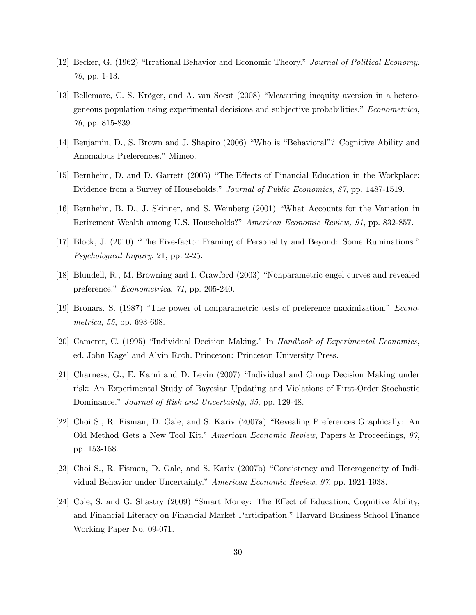- [12] Becker, G. (1962) "Irrational Behavior and Economic Theory." Journal of Political Economy, 70, pp. 1-13.
- [13] Bellemare, C. S. Kröger, and A. van Soest (2008) "Measuring inequity aversion in a heterogeneous population using experimental decisions and subjective probabilities." Econometrica, 76, pp. 815-839.
- [14] Benjamin, D., S. Brown and J. Shapiro (2006) "Who is "Behavioral"? Cognitive Ability and Anomalous Preferences." Mimeo.
- [15] Bernheim, D. and D. Garrett (2003) "The Effects of Financial Education in the Workplace: Evidence from a Survey of Households." Journal of Public Economics, 87, pp. 1487-1519.
- [16] Bernheim, B. D., J. Skinner, and S. Weinberg (2001) "What Accounts for the Variation in Retirement Wealth among U.S. Households?" American Economic Review, 91, pp. 832-857.
- [17] Block, J. (2010) "The Five-factor Framing of Personality and Beyond: Some Ruminations." Psychological Inquiry, 21, pp. 2-25.
- [18] Blundell, R., M. Browning and I. Crawford (2003) "Nonparametric engel curves and revealed preference."  $Econometrica$ , 71, pp. 205-240.
- [19] Bronars, S. (1987) "The power of nonparametric tests of preference maximization." Econometrica, 55, pp. 693-698.
- [20] Camerer, C. (1995) "Individual Decision Making." In Handbook of Experimental Economics. ed. John Kagel and Alvin Roth. Princeton: Princeton University Press.
- [21] Charness, G., E. Karni and D. Levin (2007) "Individual and Group Decision Making under risk: An Experimental Study of Bayesian Updating and Violations of First-Order Stochastic Dominance." Journal of Risk and Uncertainty, 35, pp. 129-48.
- [22] Choi S., R. Fisman, D. Gale, and S. Kariv (2007a) "Revealing Preferences Graphically: An Old Method Gets a New Tool Kit." American Economic Review, Papers & Proceedings, 97, pp. 153-158.
- [23] Choi S., R. Fisman, D. Gale, and S. Kariv (2007b) "Consistency and Heterogeneity of Individual Behavior under Uncertainty." American Economic Review, 97, pp. 1921-1938.
- [24] Cole, S. and G. Shastry (2009) "Smart Money: The Effect of Education, Cognitive Ability, and Financial Literacy on Financial Market Participation." Harvard Business School Finance Working Paper No. 09-071.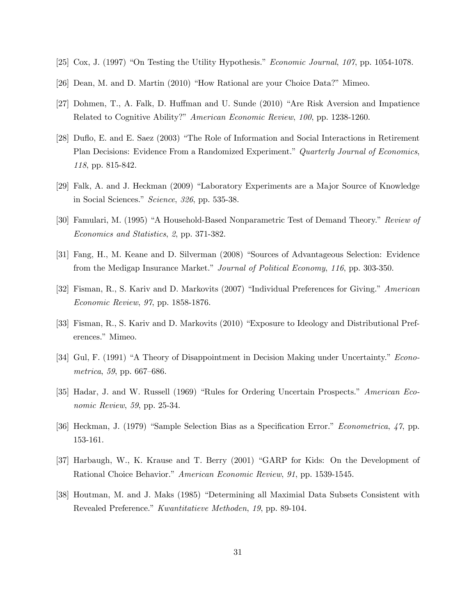- [25] Cox, J. (1997) "On Testing the Utility Hypothesis." *Economic Journal*,  $10\%$ , pp. 1054-1078.
- $[26]$  Dean, M. and D. Martin  $(2010)$  "How Rational are your Choice Data?" Mimeo.
- [27] Dohmen, T., A. Falk, D. Huffman and U. Sunde  $(2010)$  "Are Risk Aversion and Impatience Related to Cognitive Ability?" American Economic Review, 100, pp. 1238-1260.
- [28] Duflo, E. and E. Saez (2003) "The Role of Information and Social Interactions in Retirement Plan Decisions: Evidence From a Randomized Experiment." Quarterly Journal of Economics, 118, pp. 815-842.
- [29] Falk, A. and J. Heckman (2009) "Laboratory Experiments are a Major Source of Knowledge in Social Sciences." Science,  $326$ , pp. 535-38.
- [30] Famulari, M. (1995) "A Household-Based Nonparametric Test of Demand Theory." Review of Economics and Statistics, 2, pp. 371-382.
- [31] Fang, H., M. Keane and D. Silverman (2008) "Sources of Advantageous Selection: Evidence from the Medigap Insurance Market." Journal of Political Economy, 116, pp. 303-350.
- [32] Fisman, R., S. Kariv and D. Markovits (2007) "Individual Preferences for Giving." American Economic Review, 97, pp. 1858-1876.
- [33] Fisman, R., S. Kariv and D. Markovits (2010) "Exposure to Ideology and Distributional Preferences." Mimeo.
- [34] Gul, F. (1991) "A Theory of Disappointment in Decision Making under Uncertainty." Econometrica, 59, pp.  $667–686$ .
- [35] Hadar, J. and W. Russell (1969) "Rules for Ordering Uncertain Prospects." American Economic Review, 59, pp. 25-34.
- [36] Heckman, J. (1979) "Sample Selection Bias as a Specification Error." *Econometrica*,  $\langle \gamma \rangle$  pp. 153-161.
- [37] Harbaugh, W., K. Krause and T. Berry (2001) "GARP for Kids: On the Development of Rational Choice Behavior." American Economic Review, 91, pp. 1539-1545.
- [38] Houtman, M. and J. Maks (1985) "Determining all Maximial Data Subsets Consistent with Revealed Preference." Kwantitatieve Methoden, 19, pp. 89-104.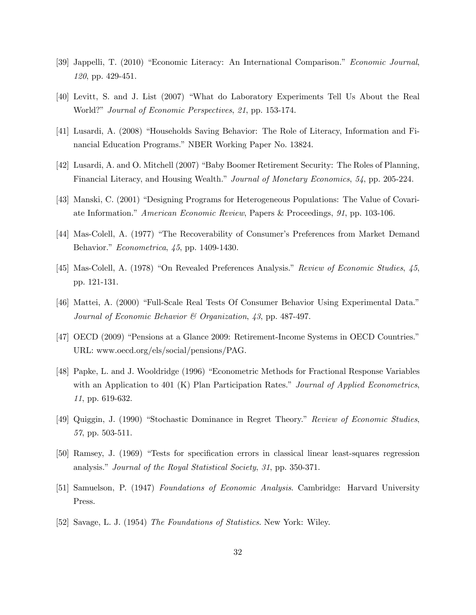- [39] Jappelli, T. (2010) "Economic Literacy: An International Comparison." Economic Journal, 120, pp. 429-451.
- [40] Levitt, S. and J. List (2007) "What do Laboratory Experiments Tell Us About the Real World?" Journal of Economic Perspectives, 21, pp. 153-174.
- [41] Lusardi, A. (2008) "Households Saving Behavior: The Role of Literacy, Information and Financial Education Programs." NBER Working Paper No. 13824.
- [42] Lusardi, A. and O. Mitchell (2007) "Baby Boomer Retirement Security: The Roles of Planning, Financial Literacy, and Housing Wealth." Journal of Monetary Economics, 54, pp. 205-224.
- [43] Manski, C. (2001) "Designing Programs for Heterogeneous Populations: The Value of Covariate Information." American Economic Review, Papers & Proceedings, 91, pp. 103-106.
- [44] Mas-Colell, A. (1977) "The Recoverability of Consumer's Preferences from Market Demand Behavior." Econometrica, 45, pp. 1409-1430.
- [45] Mas-Colell, A. (1978) "On Revealed Preferences Analysis." Review of Economic Studies, 45, pp. 121-131.
- [46] Mattei, A. (2000) "Full-Scale Real Tests Of Consumer Behavior Using Experimental Data." Journal of Economic Behavior & Organization, 43, pp. 487-497.
- [47] OECD (2009) "Pensions at a Glance 2009: Retirement-Income Systems in OECD Countries." URL: www.oecd.org/els/social/pensions/PAG.
- [48] Papke, L. and J. Wooldridge (1996) "Econometric Methods for Fractional Response Variables with an Application to 401 (K) Plan Participation Rates." Journal of Applied Econometrics, 11, pp. 619-632.
- [49] Quiggin, J. (1990) "Stochastic Dominance in Regret Theory." Review of Economic Studies. 57, pp. 503-511.
- [50] Ramsey, J. (1969) "Tests for specification errors in classical linear least-squares regression analysis." Journal of the Royal Statistical Society, 31, pp. 350-371.
- [51] Samuelson, P. (1947) Foundations of Economic Analysis. Cambridge: Harvard University Press.
- [52] Savage, L. J. (1954) The Foundations of Statistics. New York: Wiley.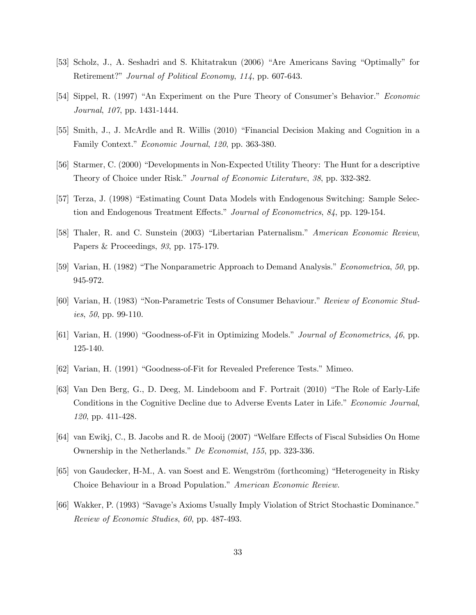- [53] Scholz, J., A. Seshadri and S. Khitatrakun (2006) "Are Americans Saving "Optimally" for Retirement?" Journal of Political Economy, 114, pp. 607-643.
- [54] Sippel, R. (1997) "An Experiment on the Pure Theory of Consumer's Behavior." Economic Journal, 107, pp. 1431-1444.
- [55] Smith, J., J. McArdle and R. Willis (2010) "Financial Decision Making and Cognition in a Family Context." Economic Journal, 120, pp. 363-380.
- [56] Starmer, C. (2000) "Developments in Non-Expected Utility Theory: The Hunt for a descriptive Theory of Choice under Risk." Journal of Economic Literature, 38, pp. 332-382.
- [57] Terza, J. (1998) "Estimating Count Data Models with Endogenous Switching: Sample Selection and Endogenous Treatment Effects." Journal of Econometrics, 84, pp. 129-154.
- [58] Thaler, R. and C. Sunstein (2003) "Libertarian Paternalism." American Economic Review, Papers & Proceedings, 93, pp. 175-179.
- [59] Varian, H. (1982) "The Nonparametric Approach to Demand Analysis." *Econometrica*, 50, pp. 945-972.
- [60] Varian, H. (1983) "Non-Parametric Tests of Consumer Behaviour." Review of Economic Studies, 50, pp. 99-110.
- [61] Varian, H. (1990) "Goodness-of-Fit in Optimizing Models." Journal of Econometrics,  $46$ , pp. 125-140.
- [62] Varian, H. (1991) "Goodness-of-Fit for Revealed Preference Tests." Mimeo.
- [63] Van Den Berg, G., D. Deeg, M. Lindeboom and F. Portrait (2010) "The Role of Early-Life Conditions in the Cognitive Decline due to Adverse Events Later in Life." Economic Journal, 120, pp. 411-428.
- [64] van Ewikj, C., B. Jacobs and R. de Mooij (2007) "Welfare Effects of Fiscal Subsidies On Home Ownership in the Netherlands." De Economist, 155, pp. 323-336.
- [65] von Gaudecker, H-M., A. van Soest and E. Wengström (forthcoming) "Heterogeneity in Risky Choice Behaviour in a Broad Population." American Economic Review.
- [66] Wakker, P. (1993) "Savage's Axioms Usually Imply Violation of Strict Stochastic Dominance." Review of Economic Studies, 60, pp. 487-493.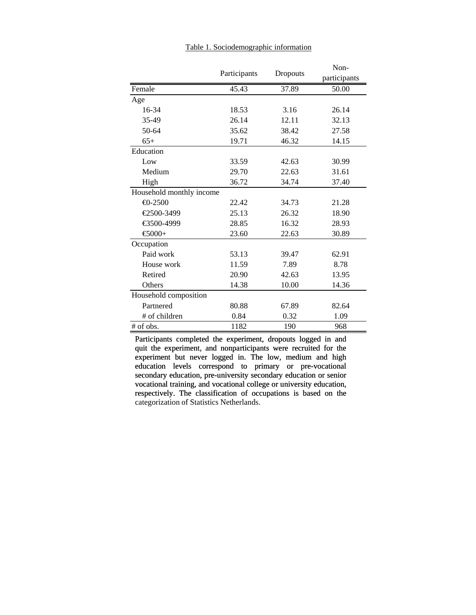|                          | Participants | Dropouts | Non-<br>participants |
|--------------------------|--------------|----------|----------------------|
| Female                   | 45.43        | 37.89    | 50.00                |
| Age                      |              |          |                      |
| 16-34                    | 18.53        | 3.16     | 26.14                |
| 35-49                    | 26.14        | 12.11    | 32.13                |
| 50-64                    | 35.62        | 38.42    | 27.58                |
| $65+$                    | 19.71        | 46.32    | 14.15                |
| Education                |              |          |                      |
| Low                      | 33.59        | 42.63    | 30.99                |
| Medium                   | 29.70        | 22.63    | 31.61                |
| High                     | 36.72        | 34.74    | 37.40                |
| Household monthly income |              |          |                      |
| $-2500$                  | 22.42        | 34.73    | 21.28                |
| €2500-3499               | 25.13        | 26.32    | 18.90                |
| €3500-4999               | 28.85        | 16.32    | 28.93                |
| €5000+                   | 23.60        | 22.63    | 30.89                |
| Occupation               |              |          |                      |
| Paid work                | 53.13        | 39.47    | 62.91                |
| House work               | 11.59        | 7.89     | 8.78                 |
| Retired                  | 20.90        | 42.63    | 13.95                |
| Others                   | 14.38        | 10.00    | 14.36                |
| Household composition    |              |          |                      |
| Partnered                | 80.88        | 67.89    | 82.64                |
| # of children            | 0.84         | 0.32     | 1.09                 |
| # of obs.                | 1182         | 190      | 968                  |

Table 1. Sociodemographic information

Participants completed the experiment, dropouts logged in and quit the experiment, and nonparticipants were recruited for the experiment but never logged in. The low, medium and high education levels correspond to primary or pre-vocational secondary education, pre-university secondary education or senior vocational training, and vocational college or university education, respectively. The classification of occupations is based on the categorization of Statistics Netherlands. categorization of Statistics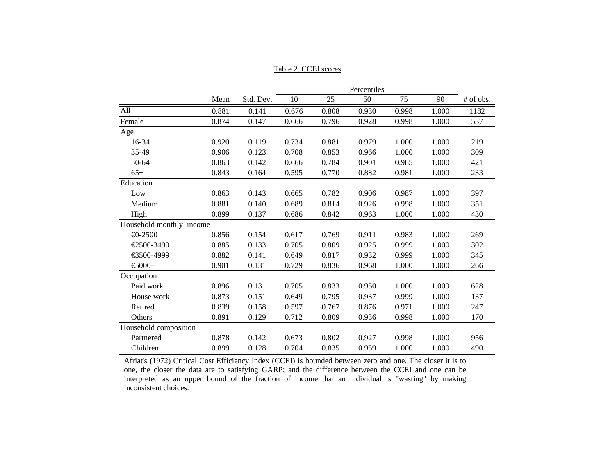#### Table 2. CCEI scores

|                          |       |           |       |       | Percentiles |       |       |           |
|--------------------------|-------|-----------|-------|-------|-------------|-------|-------|-----------|
|                          | Mean  | Std. Dev. | 10    | 25    | 50          | 75    | 90    | # of obs. |
| All                      | 0.881 | 0.141     | 0.676 | 0.808 | 0.930       | 0.998 | 1.000 | 1182      |
| Female                   | 0.874 | 0.147     | 0.666 | 0.796 | 0.928       | 0.998 | 1.000 | 537       |
| Age                      |       |           |       |       |             |       |       |           |
| 16-34                    | 0.920 | 0.119     | 0.734 | 0.881 | 0.979       | 1.000 | 1.000 | 219       |
| 35-49                    | 0.906 | 0.123     | 0.708 | 0.853 | 0.966       | 1.000 | 1.000 | 309       |
| 50-64                    | 0.863 | 0.142     | 0.666 | 0.784 | 0.901       | 0.985 | 1.000 | 421       |
| $65+$                    | 0.843 | 0.164     | 0.595 | 0.770 | 0.882       | 0.981 | 1.000 | 233       |
| Education                |       |           |       |       |             |       |       |           |
| Low                      | 0.863 | 0.143     | 0.665 | 0.782 | 0.906       | 0.987 | 1.000 | 397       |
| Medium                   | 0.881 | 0.140     | 0.689 | 0.814 | 0.926       | 0.998 | 1.000 | 351       |
| High                     | 0.899 | 0.137     | 0.686 | 0.842 | 0.963       | 1.000 | 1.000 | 430       |
| Household monthly income |       |           |       |       |             |       |       |           |
| $\bigoplus$ -2500        | 0.856 | 0.154     | 0.617 | 0.769 | 0.911       | 0.983 | 1.000 | 269       |
| €2500-3499               | 0.885 | 0.133     | 0.705 | 0.809 | 0.925       | 0.999 | 1.000 | 302       |
| €3500-4999               | 0.882 | 0.141     | 0.649 | 0.817 | 0.932       | 0.999 | 1.000 | 345       |
| $\epsilon$ 5000+         | 0.901 | 0.131     | 0.729 | 0.836 | 0.968       | 1.000 | 1.000 | 266       |
| Occupation               |       |           |       |       |             |       |       |           |
| Paid work                | 0.896 | 0.131     | 0.705 | 0.833 | 0.950       | 1.000 | 1.000 | 628       |
| House work               | 0.873 | 0.151     | 0.649 | 0.795 | 0.937       | 0.999 | 1.000 | 137       |
| Retired                  | 0.839 | 0.158     | 0.597 | 0.767 | 0.876       | 0.971 | 1.000 | 247       |
| <b>Others</b>            | 0.891 | 0.129     | 0.712 | 0.809 | 0.936       | 0.998 | 1.000 | 170       |
| Household composition    |       |           |       |       |             |       |       |           |
| Partnered                | 0.878 | 0.142     | 0.673 | 0.802 | 0.927       | 0.998 | 1.000 | 956       |
| Children                 | 0.899 | 0.128     | 0.704 | 0.835 | 0.959       | 1.000 | 1.000 | 490       |

Afriat's (1972) Critical Cost Efficiency Index (CCEI) is bounded between zero and one. The closer it is to one, the closer the data are to satisfying GARP; and the difference between the CCEI and one can be interpreted as an upper bound of the fraction of income that an individual is "wasting" by making inconsistent choices.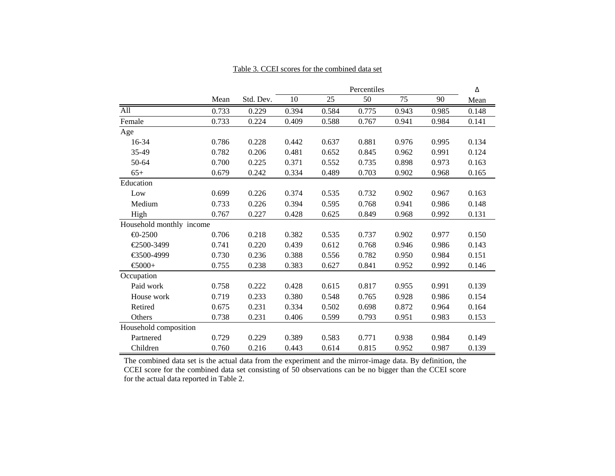#### Table 3. CCEI scores for the combined data set

|                          |       |           | Percentiles |       |       |       | Δ     |       |
|--------------------------|-------|-----------|-------------|-------|-------|-------|-------|-------|
|                          | Mean  | Std. Dev. | 10          | 25    | 50    | 75    | 90    | Mean  |
| All                      | 0.733 | 0.229     | 0.394       | 0.584 | 0.775 | 0.943 | 0.985 | 0.148 |
| Female                   | 0.733 | 0.224     | 0.409       | 0.588 | 0.767 | 0.941 | 0.984 | 0.141 |
| Age                      |       |           |             |       |       |       |       |       |
| 16-34                    | 0.786 | 0.228     | 0.442       | 0.637 | 0.881 | 0.976 | 0.995 | 0.134 |
| 35-49                    | 0.782 | 0.206     | 0.481       | 0.652 | 0.845 | 0.962 | 0.991 | 0.124 |
| 50-64                    | 0.700 | 0.225     | 0.371       | 0.552 | 0.735 | 0.898 | 0.973 | 0.163 |
| $65+$                    | 0.679 | 0.242     | 0.334       | 0.489 | 0.703 | 0.902 | 0.968 | 0.165 |
| Education                |       |           |             |       |       |       |       |       |
| Low                      | 0.699 | 0.226     | 0.374       | 0.535 | 0.732 | 0.902 | 0.967 | 0.163 |
| Medium                   | 0.733 | 0.226     | 0.394       | 0.595 | 0.768 | 0.941 | 0.986 | 0.148 |
| High                     | 0.767 | 0.227     | 0.428       | 0.625 | 0.849 | 0.968 | 0.992 | 0.131 |
| Household monthly income |       |           |             |       |       |       |       |       |
| $-2500$                  | 0.706 | 0.218     | 0.382       | 0.535 | 0.737 | 0.902 | 0.977 | 0.150 |
| €2500-3499               | 0.741 | 0.220     | 0.439       | 0.612 | 0.768 | 0.946 | 0.986 | 0.143 |
| €3500-4999               | 0.730 | 0.236     | 0.388       | 0.556 | 0.782 | 0.950 | 0.984 | 0.151 |
| $-6000+$                 | 0.755 | 0.238     | 0.383       | 0.627 | 0.841 | 0.952 | 0.992 | 0.146 |
| Occupation               |       |           |             |       |       |       |       |       |
| Paid work                | 0.758 | 0.222     | 0.428       | 0.615 | 0.817 | 0.955 | 0.991 | 0.139 |
| House work               | 0.719 | 0.233     | 0.380       | 0.548 | 0.765 | 0.928 | 0.986 | 0.154 |
| Retired                  | 0.675 | 0.231     | 0.334       | 0.502 | 0.698 | 0.872 | 0.964 | 0.164 |
| Others                   | 0.738 | 0.231     | 0.406       | 0.599 | 0.793 | 0.951 | 0.983 | 0.153 |
| Household composition    |       |           |             |       |       |       |       |       |
| Partnered                | 0.729 | 0.229     | 0.389       | 0.583 | 0.771 | 0.938 | 0.984 | 0.149 |
| Children                 | 0.760 | 0.216     | 0.443       | 0.614 | 0.815 | 0.952 | 0.987 | 0.139 |

The combined data set is the actual data from the experiment and the mirror-image data. By definition, the CCEI score for the combined data set consisting of 50 observations can be no bigger than the CCEI score for the actual data reported in Table 2.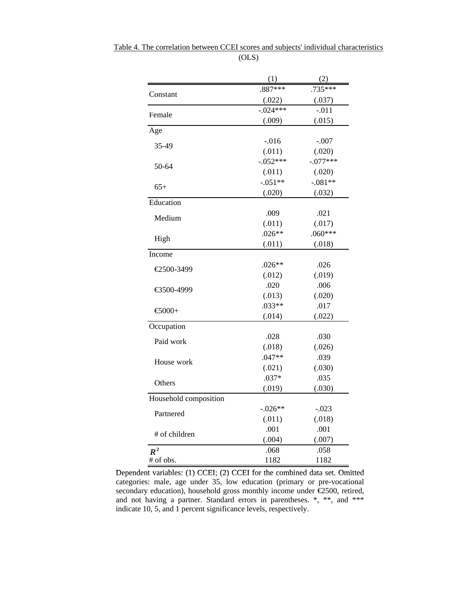|                       | (1)         | (2)        |
|-----------------------|-------------|------------|
| Constant              | $.887***$   | $.735***$  |
|                       | (.022)      | (.037)     |
| Female                | $-0.024***$ | $-.011$    |
|                       | (.009)      | (.015)     |
| Age                   |             |            |
| 35-49                 | $-.016$     | $-.007$    |
|                       | (.011)      | (.020)     |
| 50-64                 | $-.052***$  | $-.077***$ |
|                       | (.011)      | (.020)     |
| $65+$                 | $-.051**$   | $-.081**$  |
|                       | (.020)      | (.032)     |
| Education             |             |            |
| Medium                | .009        | .021       |
|                       | (.011)      | (.017)     |
| High                  | $.026**$    | $.060***$  |
|                       | (.011)      | (.018)     |
| Income                |             |            |
| €2500-3499            | $.026**$    | .026       |
|                       | (.012)      | (.019)     |
| €3500-4999            | .020        | .006       |
|                       | (.013)      | (.020)     |
| €5000+                | $.033**$    | .017       |
|                       | (.014)      | (.022)     |
| Occupation            |             |            |
| Paid work             | .028        | .030       |
|                       | (.018)      | (.026)     |
| House work            | $.047**$    | .039       |
|                       | (.021)      | (.030)     |
| Others                | $.037*$     | .035       |
|                       | (.019)      | (.030)     |
| Household composition |             |            |
| Partnered             | $-.026**$   | $-.023$    |
|                       | (.011)      | (.018)     |
| # of children         | .001        | .001       |
|                       | (.004)      | (.007)     |
| $R^2$                 | .068        | .058       |
| # of obs.             | 1182        | 1182       |

Table 4. The correlation between CCEI scores and subjects' individual characteristics (OLS)

Dependent variables: (1) CCEI; (2) CCEI for the combined data set. Omitted categories: male, age under 35, low education (primary or pre-vocational secondary education), household gross monthly income under €2500, retired, and not having a partner. Standard errors in parentheses. \*, \*\*, and \*\*\* indicate 10, 5, and 1 percent significance levels, respectively.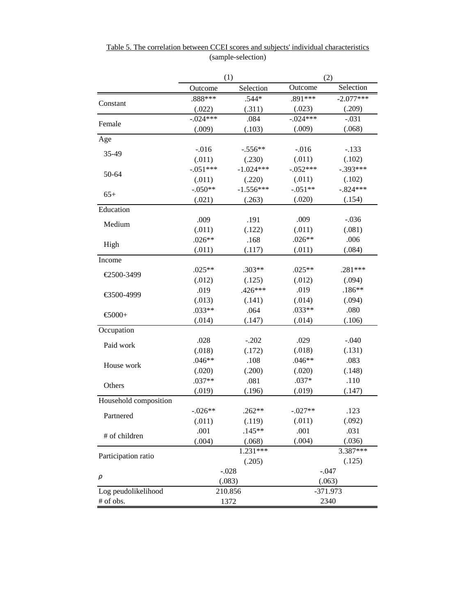|                       | (1)         |             | (2)        |             |  |
|-----------------------|-------------|-------------|------------|-------------|--|
|                       | Outcome     | Selection   | Outcome    | Selection   |  |
|                       | $.888***$   | $.544*$     | $.891***$  | $-2.077***$ |  |
| Constant              | (.022)      | (.311)      | (.023)     | (.209)      |  |
|                       | $-0.024***$ | .084        | $-.024***$ | $-.031$     |  |
| Female                | (.009)      | (.103)      | (.009)     | (.068)      |  |
| Age                   |             |             |            |             |  |
| 35-49                 | $-.016$     | $-.556**$   | $-.016$    | $-.133$     |  |
|                       | (.011)      | (.230)      | (.011)     | (.102)      |  |
| 50-64                 | $-.051***$  | $-1.024***$ | $-.052***$ | $-.393***$  |  |
|                       | (.011)      | (.220)      | (.011)     | (.102)      |  |
| $65+$                 | $-.050**$   | $-1.556***$ | $-.051**$  | $-.824***$  |  |
|                       | (.021)      | (.263)      | (.020)     | (.154)      |  |
| Education             |             |             |            |             |  |
| Medium                | .009        | .191        | .009       | $-.036$     |  |
|                       | (.011)      | (.122)      | (.011)     | (.081)      |  |
| High                  | $.026**$    | .168        | $.026**$   | .006        |  |
|                       | (.011)      | (.117)      | (.011)     | (.084)      |  |
| Income                |             |             |            |             |  |
| €2500-3499            | $.025**$    | $.303**$    | $.025**$   | .281***     |  |
|                       | (.012)      | (.125)      | (.012)     | (.094)      |  |
| €3500-4999            | .019        | $.426***$   | .019       | $.186**$    |  |
|                       | (.013)      | (.141)      | (.014)     | (.094)      |  |
| $-6000+$              | $.033**$    | .064        | $.033**$   | .080        |  |
|                       | (.014)      | (.147)      | (.014)     | (.106)      |  |
| Occupation            |             |             |            |             |  |
| Paid work             | .028        | $-.202$     | .029       | $-.040$     |  |
|                       | (.018)      | (.172)      | (.018)     | (.131)      |  |
| House work            | $.046**$    | .108        | $.046**$   | .083        |  |
|                       | (.020)      | (.200)      | (.020)     | (.148)      |  |
| Others                | $.037**$    | .081        | $.037*$    | .110        |  |
|                       | (.019)      | (.196)      | (.019)     | (.147)      |  |
| Household composition |             |             |            |             |  |
| Partnered             | $-.026**$   | $.262**$    | $-.027**$  | .123        |  |
|                       | (.011)      | (.119)      | (.011)     | (.092)      |  |
| # of children         | .001        | $.145**$    | .001       | .031        |  |
|                       | (.004)      | (.068)      | (.004)     | (.036)      |  |
| Participation ratio   |             | $1.231***$  |            | 3.387***    |  |
|                       |             | (.205)      |            | (.125)      |  |
|                       |             | $-.028$     |            | $-.047$     |  |
| ρ                     |             | (.083)      |            | (.063)      |  |
| Log peudolikelihood   |             | 210.856     | $-371.973$ |             |  |
| # of obs.             |             | 1372        | 2340       |             |  |

Table 5. The correlation between CCEI scores and subjects' individual characteristics (sample-selection)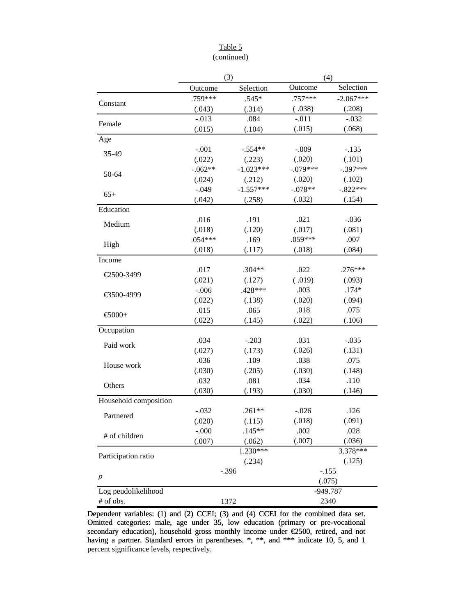### Table 5 (continued)

|                       |           | (3)         | (4)        |             |  |
|-----------------------|-----------|-------------|------------|-------------|--|
|                       | Outcome   | Selection   | Outcome    | Selection   |  |
| Constant              | .759***   | $.545*$     | $.757***$  | $-2.067***$ |  |
|                       | (.043)    | (.314)      | (.038)     | (.208)      |  |
| Female                | $-.013$   | .084        | $-.011$    | $-.032$     |  |
|                       | (.015)    | (.104)      | (.015)     | (.068)      |  |
| Age                   |           |             |            |             |  |
| 35-49                 | $-.001$   | $-.554**$   | $-.009$    | $-.135$     |  |
|                       | (.022)    | (.223)      | (.020)     | (.101)      |  |
| 50-64                 | $-.062**$ | $-1.023***$ | $-.079***$ | $-.397***$  |  |
|                       | (.024)    | (.212)      | (.020)     | (.102)      |  |
| $65+$                 | $-.049$   | $-1.557***$ | $-.078**$  | $-.822***$  |  |
|                       | (.042)    | (.258)      | (.032)     | (.154)      |  |
| Education             |           |             |            |             |  |
| Medium                | .016      | .191        | .021       | $-.036$     |  |
|                       | (.018)    | (.120)      | (.017)     | (.081)      |  |
| High                  | $.054***$ | .169        | $.059***$  | .007        |  |
|                       | (.018)    | (.117)      | (.018)     | (.084)      |  |
| Income                |           |             |            |             |  |
| €2500-3499            | .017      | $.304**$    | .022       | $.276***$   |  |
|                       | (.021)    | (.127)      | (.019)     | (.093)      |  |
| €3500-4999            | $-.006$   | .428***     | .003       | $.174*$     |  |
|                       | (.022)    | (.138)      | (.020)     | (.094)      |  |
| $\bigoplus$ 000+      | .015      | .065        | .018       | .075        |  |
|                       | (.022)    | (.145)      | (.022)     | (.106)      |  |
| Occupation            |           |             |            |             |  |
| Paid work             | .034      | $-.203$     | .031       | $-.035$     |  |
|                       | (.027)    | (.173)      | (.026)     | (.131)      |  |
| House work            | .036      | .109        | .038       | .075        |  |
|                       | (.030)    | (.205)      | (.030)     | (.148)      |  |
| Others                | .032      | .081        | .034       | .110        |  |
|                       | (.030)    | (.193)      | (.030)     | (.146)      |  |
| Household composition |           |             |            |             |  |
| Partnered             | $-.032$   | $.261**$    | $-.026$    | .126        |  |
|                       | (.020)    | (.115)      | (.018)     | (.091)      |  |
| # of children         | $-.000$   | $.145**$    | .002       | .028        |  |
|                       | (.007)    | (.062)      | (.007)     | (.036)      |  |
| Participation ratio   |           | 1.230***    |            | 3.378***    |  |
|                       |           | (.234)      |            | (.125)      |  |
| $\rho$                |           | $-.396$     |            | $-.155$     |  |
|                       |           |             |            | (.075)      |  |
| Log peudolikelihood   |           |             |            | -949.787    |  |
| # of obs.             |           | 1372        |            | 2340        |  |

Dependent variables: (1) and (2) CCEI; (3) and (4) CCEI for the combined data set. Omitted categories: male, age under 35, low education (primary or pre-vocational secondary education), household gross monthly income under €2500, retired, and not having a partner. Standard errors in parentheses. \*, \*\*, and \*\*\* indicate 10, 5, and 1 percent significance levels, respectively.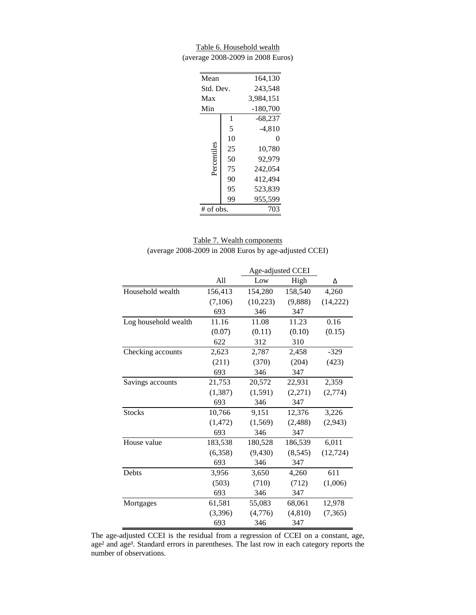Table 6. Household wealth (average 2008-2009 in 2008 Euros)

| Mean        |    | 164,130    |
|-------------|----|------------|
| Std. Dev.   |    | 243,548    |
| Max         |    | 3,984,151  |
| Min         |    | $-180,700$ |
|             | 1  | $-68,237$  |
|             | 5  | -4,810     |
|             | 10 | 0          |
| Percentiles | 25 | 10,780     |
|             | 50 | 92.979     |
|             | 75 | 242.054    |
|             | 90 | 412.494    |
|             | 95 | 523,839    |
|             | 99 | 955,599    |
| $#$ of obs. |    | 703        |

| Table 7. Wealth components                             |  |
|--------------------------------------------------------|--|
| (average 2008-2009 in 2008 Euros by age-adjusted CCEI) |  |

|                      |          | Age-adjusted CCEI |          |           |  |
|----------------------|----------|-------------------|----------|-----------|--|
|                      | All      | Low               | High     | Δ         |  |
| Household wealth     | 156,413  | 154,280           | 158,540  | 4,260     |  |
|                      | (7,106)  | (10,223)          | (9,888)  | (14, 222) |  |
|                      | 693      | 346               | 347      |           |  |
| Log household wealth | 11.16    | 11.08             | 11.23    | 0.16      |  |
|                      | (0.07)   | (0.11)            | (0.10)   | (0.15)    |  |
|                      | 622      | 312               | 310      |           |  |
| Checking accounts    | 2,623    | 2,787             | 2,458    | $-329$    |  |
|                      | (211)    | (370)             | (204)    | (423)     |  |
|                      | 693      | 346               | 347      |           |  |
| Savings accounts     | 21,753   | 20,572            | 22,931   | 2,359     |  |
|                      | (1, 387) | (1, 591)          | (2,271)  | (2,774)   |  |
|                      | 693      | 346               | 347      |           |  |
| <b>Stocks</b>        | 10,766   | 9,151             | 12,376   | 3,226     |  |
|                      | (1, 472) | (1,569)           | (2, 488) | (2,943)   |  |
|                      | 693      | 346               | 347      |           |  |
| House value          | 183,538  | 180,528           | 186,539  | 6,011     |  |
|                      | (6,358)  | (9, 430)          | (8, 545) | (12, 724) |  |
|                      | 693      | 346               | 347      |           |  |
| Debts                | 3,956    | 3,650             | 4,260    | 611       |  |
|                      | (503)    | (710)             | (712)    | (1,006)   |  |
|                      | 693      | 346               | 347      |           |  |
| Mortgages            | 61,581   | 55,083            | 68,061   | 12,978    |  |
|                      | (3,396)  | (4,776)           | (4,810)  | (7,365)   |  |
|                      | 693      | 346               | 347      |           |  |

The age-adjusted CCEI is the residual from a regression of CCEI on a constant, age, age<sup>2</sup> and age<sup>3</sup>. Standard errors in parentheses. The last row in each category reports the number of observations.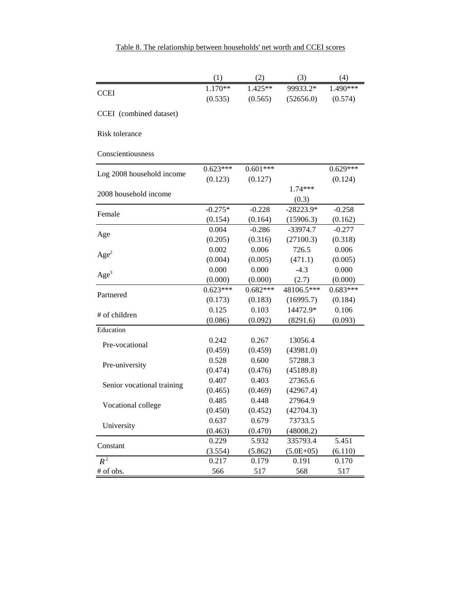|                            | (1)        | (2)        | (3)         | (4)        |
|----------------------------|------------|------------|-------------|------------|
| <b>CCEI</b>                | $1.170**$  | 1.425**    | 99933.2*    | $1.490***$ |
|                            | (0.535)    | (0.565)    | (52656.0)   | (0.574)    |
| CCEI (combined dataset)    |            |            |             |            |
|                            |            |            |             |            |
| Risk tolerance             |            |            |             |            |
| Conscientiousness          |            |            |             |            |
|                            |            |            |             |            |
| Log 2008 household income  | $0.623***$ | $0.601***$ |             | $0.629***$ |
|                            | (0.123)    | (0.127)    |             | (0.124)    |
| 2008 household income      |            |            | 1.74***     |            |
|                            |            |            | (0.3)       |            |
| Female                     | $-0.275*$  | $-0.228$   | $-28223.9*$ | $-0.258$   |
|                            | (0.154)    | (0.164)    | (15906.3)   | (0.162)    |
| Age                        | 0.004      | $-0.286$   | -33974.7    | $-0.277$   |
|                            | (0.205)    | (0.316)    | (27100.3)   | (0.318)    |
| Age <sup>2</sup>           | 0.002      | 0.006      | 726.5       | 0.006      |
|                            | (0.004)    | (0.005)    | (471.1)     | (0.005)    |
| Age <sup>3</sup>           | 0.000      | 0.000      | $-4.3$      | 0.000      |
|                            | (0.000)    | (0.000)    | (2.7)       | (0.000)    |
| Partnered                  | $0.623***$ | $0.682***$ | 48106.5***  | $0.683***$ |
|                            | (0.173)    | (0.183)    | (16995.7)   | (0.184)    |
| # of children              | 0.125      | 0.103      | 14472.9*    | 0.106      |
|                            | (0.086)    | (0.092)    | (8291.6)    | (0.093)    |
| Education                  |            |            |             |            |
| Pre-vocational             | 0.242      | 0.267      | 13056.4     |            |
|                            | (0.459)    | (0.459)    | (43981.0)   |            |
| Pre-university             | 0.528      | 0.600      | 57288.3     |            |
|                            | (0.474)    | (0.476)    | (45189.8)   |            |
| Senior vocational training | 0.407      | 0.403      | 27365.6     |            |
|                            | (0.465)    | (0.469)    | (42967.4)   |            |
| Vocational college         | 0.485      | 0.448      | 27964.9     |            |
|                            | (0.450)    | (0.452)    | (42704.3)   |            |
| University                 | 0.637      | 0.679      | 73733.5     |            |
|                            | (0.463)    | (0.470)    | (48008.2)   |            |
| Constant                   | 0.229      | 5.932      | 335793.4    | 5.451      |
|                            | (3.554)    | (5.862)    | $(5.0E+05)$ | (6.110)    |
| $R^2$                      | 0.217      | 0.179      | 0.191       | 0.170      |
| # of obs.                  | 566        | 517        | 568         | 517        |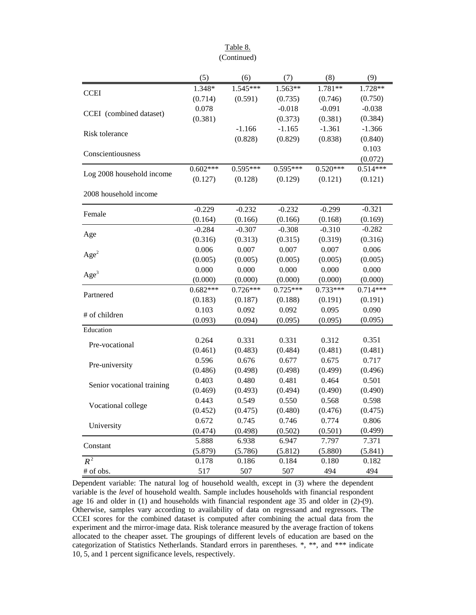|                            | (5)        | (6)        | (7)        | (8)        | (9)        |
|----------------------------|------------|------------|------------|------------|------------|
| <b>CCEI</b>                | 1.348*     | $1.545***$ | $1.563**$  | $1.781**$  | 1.728**    |
|                            | (0.714)    | (0.591)    | (0.735)    | (0.746)    | (0.750)    |
| CCEI (combined dataset)    | 0.078      |            | $-0.018$   | $-0.091$   | $-0.038$   |
|                            | (0.381)    |            | (0.373)    | (0.381)    | (0.384)    |
| Risk tolerance             |            | $-1.166$   | $-1.165$   | $-1.361$   | $-1.366$   |
|                            |            | (0.828)    | (0.829)    | (0.838)    | (0.840)    |
| Conscientiousness          |            |            |            |            | 0.103      |
|                            |            |            |            |            | (0.072)    |
| Log 2008 household income  | $0.602***$ | $0.595***$ | $0.595***$ | $0.520***$ | $0.514***$ |
|                            | (0.127)    | (0.128)    | (0.129)    | (0.121)    | (0.121)    |
| 2008 household income      |            |            |            |            |            |
| Female                     | $-0.229$   | $-0.232$   | $-0.232$   | $-0.299$   | $-0.321$   |
|                            | (0.164)    | (0.166)    | (0.166)    | (0.168)    | (0.169)    |
| Age                        | $-0.284$   | $-0.307$   | $-0.308$   | $-0.310$   | $-0.282$   |
|                            | (0.316)    | (0.313)    | (0.315)    | (0.319)    | (0.316)    |
| Age <sup>2</sup>           | 0.006      | 0.007      | 0.007      | 0.007      | 0.006      |
|                            | (0.005)    | (0.005)    | (0.005)    | (0.005)    | (0.005)    |
| Age <sup>3</sup>           | 0.000      | 0.000      | 0.000      | 0.000      | 0.000      |
|                            | (0.000)    | (0.000)    | (0.000)    | (0.000)    | (0.000)    |
| Partnered                  | $0.682***$ | $0.726***$ | $0.725***$ | $0.733***$ | $0.714***$ |
|                            | (0.183)    | (0.187)    | (0.188)    | (0.191)    | (0.191)    |
| # of children              | 0.103      | 0.092      | 0.092      | 0.095      | 0.090      |
|                            | (0.093)    | (0.094)    | (0.095)    | (0.095)    | (0.095)    |
| Education                  |            |            |            |            |            |
| Pre-vocational             | 0.264      | 0.331      | 0.331      | 0.312      | 0.351      |
|                            | (0.461)    | (0.483)    | (0.484)    | (0.481)    | (0.481)    |
| Pre-university             | 0.596      | 0.676      | 0.677      | 0.675      | 0.717      |
|                            | (0.486)    | (0.498)    | (0.498)    | (0.499)    | (0.496)    |
| Senior vocational training | 0.403      | 0.480      | 0.481      | 0.464      | 0.501      |
|                            | (0.469)    | (0.493)    | (0.494)    | (0.490)    | (0.490)    |
| Vocational college         | 0.443      | 0.549      | 0.550      | 0.568      | 0.598      |
|                            | (0.452)    | (0.475)    | (0.480)    | (0.476)    | (0.475)    |
| University                 | 0.672      | 0.745      | 0.746      | 0.774      | 0.806      |
|                            | (0.474)    | (0.498)    | (0.502)    | (0.501)    | (0.499)    |
| Constant                   | 5.888      | 6.938      | 6.947      | 7.797      | 7.371      |
|                            | (5.879)    | (5.786)    | (5.812)    | (5.880)    | (5.841)    |
| $R^2$                      | 0.178      | 0.186      | 0.184      | 0.180      | 0.182      |
| # of obs.                  | 517        | 507        | 507        | 494        | 494        |

Table 8. (Continued)

Dependent variable: The natural log of household wealth, except in (3) where the dependent variable is the *level* of household wealth. Sample includes households with financial respondent age 16 and older in (1) and households with financial respondent age 35 and older in (2)-(9). Otherwise, samples vary according to availability of data on regressand and regressors. The CCEI scores for the combined dataset is computed after combining the actual data from the experiment and the mirror-image data. Risk tolerance measured by the average fraction of tokens allocated to the cheaper asset. The groupings of different levels of education are based on the categorization of Statistics Netherlands. Standard errors in parentheses. \*, \*\*, and \*\*\* indicate 10, 5, and 1 percent significance levels, respectively.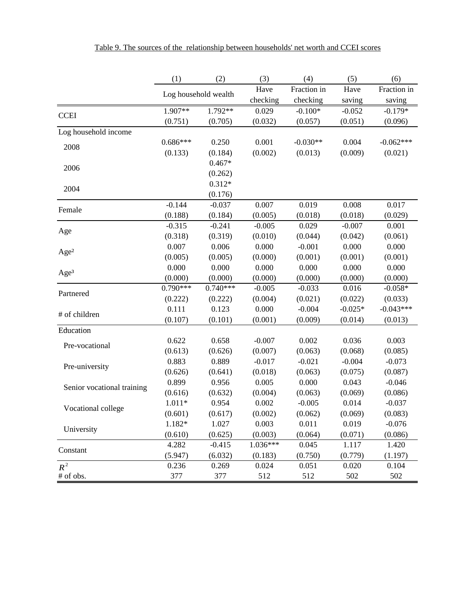|                            | (1)        | (2)                  | (3)      | (4)         | (5)       | (6)         |
|----------------------------|------------|----------------------|----------|-------------|-----------|-------------|
|                            |            | Log household wealth | Have     | Fraction in | Have      | Fraction in |
|                            |            |                      | checking | checking    | saving    | saving      |
| <b>CCEI</b>                | 1.907**    | $1.792**$            | 0.029    | $-0.100*$   | $-0.052$  | $-0.179*$   |
|                            | (0.751)    | (0.705)              | (0.032)  | (0.057)     | (0.051)   | (0.096)     |
| Log household income       |            |                      |          |             |           |             |
| 2008                       | $0.686***$ | 0.250                | 0.001    | $-0.030**$  | 0.004     | $-0.062***$ |
|                            | (0.133)    | (0.184)              | (0.002)  | (0.013)     | (0.009)   | (0.021)     |
| 2006                       |            | $0.467*$             |          |             |           |             |
|                            |            | (0.262)              |          |             |           |             |
| 2004                       |            | $0.312*$             |          |             |           |             |
|                            |            | (0.176)              |          |             |           |             |
| Female                     | $-0.144$   | $-0.037$             | 0.007    | 0.019       | 0.008     | 0.017       |
|                            | (0.188)    | (0.184)              | (0.005)  | (0.018)     | (0.018)   | (0.029)     |
| Age                        | $-0.315$   | $-0.241$             | $-0.005$ | 0.029       | $-0.007$  | 0.001       |
|                            | (0.318)    | (0.319)              | (0.010)  | (0.044)     | (0.042)   | (0.061)     |
| Age <sup>2</sup>           | 0.007      | 0.006                | 0.000    | $-0.001$    | 0.000     | 0.000       |
|                            | (0.005)    | (0.005)              | (0.000)  | (0.001)     | (0.001)   | (0.001)     |
|                            | 0.000      | 0.000                | 0.000    | 0.000       | 0.000     | 0.000       |
| Age <sup>3</sup>           | (0.000)    | (0.000)              | (0.000)  | (0.000)     | (0.000)   | (0.000)     |
| Partnered                  | $0.790***$ | $0.740***$           | $-0.005$ | $-0.033$    | 0.016     | $-0.058*$   |
|                            | (0.222)    | (0.222)              | (0.004)  | (0.021)     | (0.022)   | (0.033)     |
| # of children              | 0.111      | 0.123                | 0.000    | $-0.004$    | $-0.025*$ | $-0.043***$ |
|                            | (0.107)    | (0.101)              | (0.001)  | (0.009)     | (0.014)   | (0.013)     |
| Education                  |            |                      |          |             |           |             |
| Pre-vocational             | 0.622      | 0.658                | $-0.007$ | 0.002       | 0.036     | 0.003       |
|                            | (0.613)    | (0.626)              | (0.007)  | (0.063)     | (0.068)   | (0.085)     |
| Pre-university             | 0.883      | 0.889                | $-0.017$ | $-0.021$    | $-0.004$  | $-0.073$    |
|                            | (0.626)    | (0.641)              | (0.018)  | (0.063)     | (0.075)   | (0.087)     |
| Senior vocational training | 0.899      | 0.956                | 0.005    | 0.000       | 0.043     | $-0.046$    |
|                            | (0.616)    | (0.632)              | (0.004)  | (0.063)     | (0.069)   | (0.086)     |
| Vocational college         | $1.011*$   | 0.954                | 0.002    | $-0.005$    | 0.014     | $-0.037$    |
|                            | (0.601)    | (0.617)              | (0.002)  | (0.062)     | (0.069)   | (0.083)     |
| University                 | $1.182*$   | 1.027                | 0.003    | 0.011       | 0.019     | $-0.076$    |
|                            | (0.610)    | (0.625)              | (0.003)  | (0.064)     | (0.071)   | (0.086)     |
| Constant                   | 4.282      | $-0.415$             | 1.036*** | 0.045       | 1.117     | 1.420       |
|                            | (5.947)    | (6.032)              | (0.183)  | (0.750)     | (0.779)   | (1.197)     |
| $R^2$                      | 0.236      | 0.269                | 0.024    | 0.051       | 0.020     | 0.104       |
| # of obs.                  | 377        | 377                  | 512      | 512         | 502       | 502         |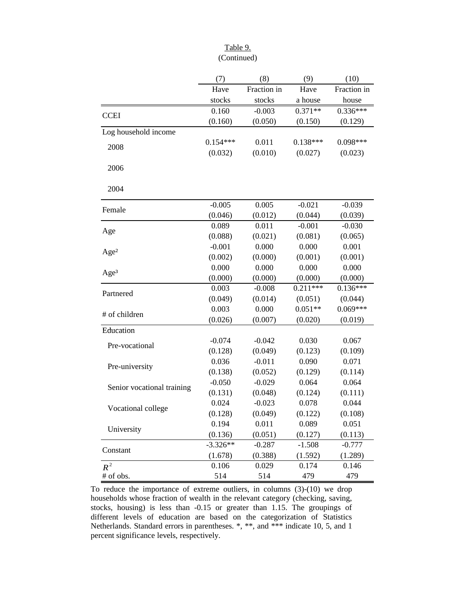### Table 9. (Continued)

|                            | (7)        | (8)         | (9)        | (10)        |
|----------------------------|------------|-------------|------------|-------------|
|                            | Have       | Fraction in | Have       | Fraction in |
|                            | stocks     | stocks      | a house    | house       |
| <b>CCEI</b>                | 0.160      | $-0.003$    | $0.371**$  | $0.336***$  |
|                            | (0.160)    | (0.050)     | (0.150)    | (0.129)     |
| Log household income       |            |             |            |             |
| 2008                       | $0.154***$ | 0.011       | $0.138***$ | $0.098***$  |
|                            | (0.032)    | (0.010)     | (0.027)    | (0.023)     |
| 2006                       |            |             |            |             |
| 2004                       |            |             |            |             |
| Female                     | $-0.005$   | 0.005       | $-0.021$   | $-0.039$    |
|                            | (0.046)    | (0.012)     | (0.044)    | (0.039)     |
| Age                        | 0.089      | 0.011       | $-0.001$   | $-0.030$    |
|                            | (0.088)    | (0.021)     | (0.081)    | (0.065)     |
| Age <sup>2</sup>           | $-0.001$   | 0.000       | 0.000      | 0.001       |
|                            | (0.002)    | (0.000)     | (0.001)    | (0.001)     |
| Age <sup>3</sup>           | 0.000      | 0.000       | 0.000      | 0.000       |
|                            | (0.000)    | (0.000)     | (0.000)    | (0.000)     |
| Partnered                  | 0.003      | $-0.008$    | $0.211***$ | $0.136***$  |
|                            | (0.049)    | (0.014)     | (0.051)    | (0.044)     |
| # of children              | 0.003      | 0.000       | $0.051**$  | $0.069***$  |
|                            | (0.026)    | (0.007)     | (0.020)    | (0.019)     |
| Education                  |            |             |            |             |
| Pre-vocational             | $-0.074$   | $-0.042$    | 0.030      | 0.067       |
|                            | (0.128)    | (0.049)     | (0.123)    | (0.109)     |
| Pre-university             | 0.036      | $-0.011$    | 0.090      | 0.071       |
|                            | (0.138)    | (0.052)     | (0.129)    | (0.114)     |
| Senior vocational training | $-0.050$   | $-0.029$    | 0.064      | 0.064       |
|                            | (0.131)    | (0.048)     | (0.124)    | (0.111)     |
| Vocational college         | 0.024      | $-0.023$    | 0.078      | 0.044       |
|                            | (0.128)    | (0.049)     | (0.122)    | (0.108)     |
| University                 | 0.194      | 0.011       | 0.089      | 0.051       |
|                            | (0.136)    | (0.051)     | (0.127)    | (0.113)     |
| Constant                   | $-3.326**$ | $-0.287$    | $-1.508$   | $-0.777$    |
|                            | (1.678)    | (0.388)     | (1.592)    | (1.289)     |
| $R^2$                      | 0.106      | 0.029       | 0.174      | 0.146       |
| # of obs.                  | 514        | 514         | 479        | 479         |

To reduce the importance of extreme outliers, in columns (3)-(10) we drop households whose fraction of wealth in the relevant category (checking, saving, stocks, housing) is less than -0.15 or greater than 1.15. The groupings of different levels of education are based on the categorization of Statistics Netherlands. Standard errors in parentheses. \*, \*\*, and \*\*\* indicate 10, 5, and 1 percent significance levels, respectively.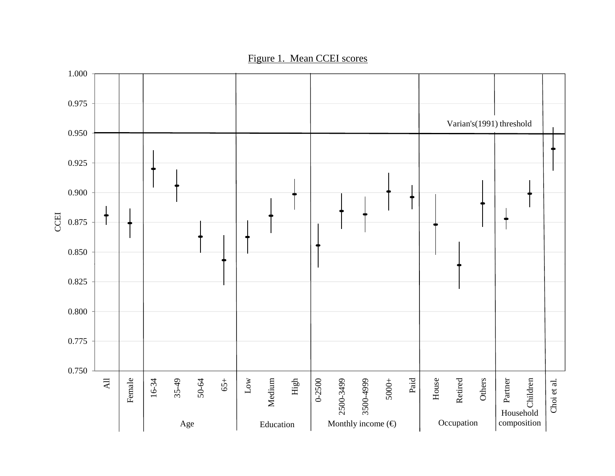Figure 1. Mean CCEI scores

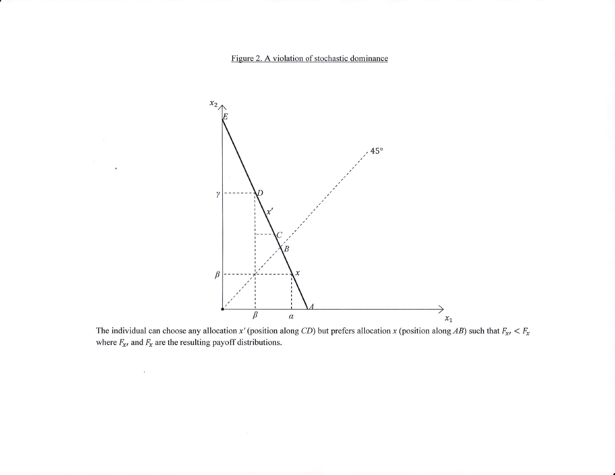#### Figure 2. A violation of stochastic dominance

ä

 $\mathcal{R}^{\mathcal{A}}$ 



sition along *CD*) but prefers allocation *x* (position along *AB*) such that  $F_{\mathbf{x}}$ ,  $\lt F_{\mathbf{x}}$ The individual can choose any allocation  $x'$  (possible individual can choose any allocation  $x'$  (possible inter-The individual can choose any allocation x' (<br>where  $F_{\mathbf{x}i}$  and  $F_{\mathbf{x}}$  are the resulting payoff dist